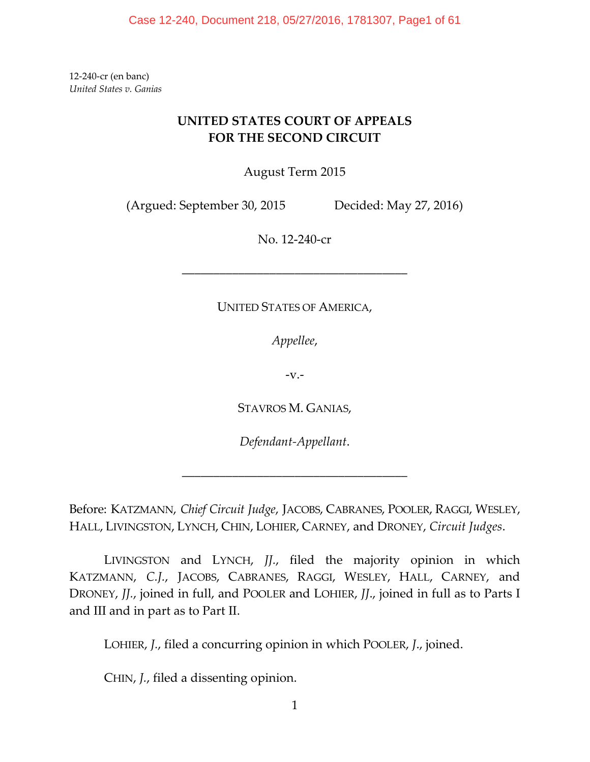12-240-cr (en banc) *United States v. Ganias*

# **UNITED STATES COURT OF APPEALS FOR THE SECOND CIRCUIT**

August Term 2015

(Argued: September 30, 2015 Decided: May 27, 2016)

No. 12-240-cr

## UNITED STATES OF AMERICA,

––––––––––––––––––––––––––––––––––––

*Appellee*,

-v.-

STAVROS M. GANIAS,

*Defendant-Appellant*.

––––––––––––––––––––––––––––––––––––

Before: KATZMANN, *Chief Circuit Judge*, JACOBS, CABRANES, POOLER, RAGGI, WESLEY, HALL, LIVINGSTON, LYNCH, CHIN, LOHIER, CARNEY, and DRONEY, *Circuit Judges*.

LIVINGSTON and LYNCH, *JJ.*, filed the majority opinion in which KATZMANN, *C.J.*, JACOBS, CABRANES, RAGGI, WESLEY, HALL, CARNEY, and DRONEY, *JJ.*, joined in full, and POOLER and LOHIER, *JJ*., joined in full as to Parts I and III and in part as to Part II.

LOHIER, *J.*, filed a concurring opinion in which POOLER, *J*., joined.

CHIN, *J.*, filed a dissenting opinion.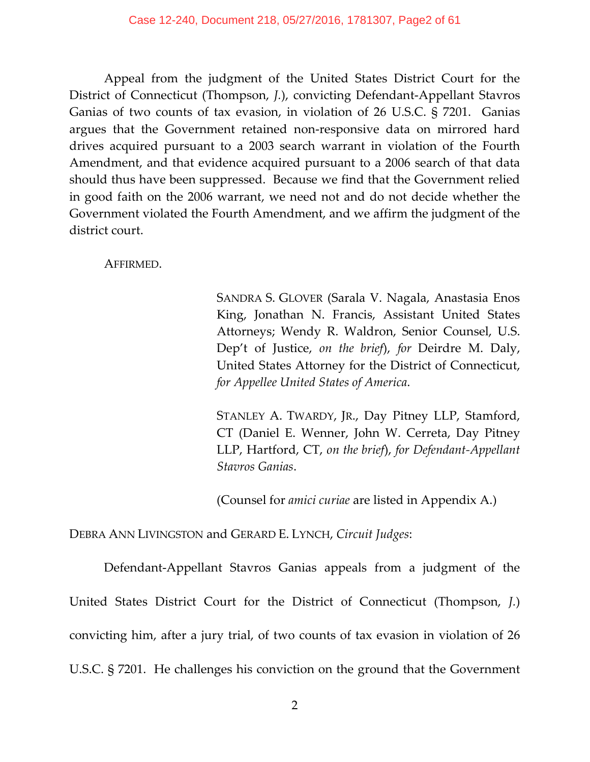Appeal from the judgment of the United States District Court for the District of Connecticut (Thompson, *J.*), convicting Defendant-Appellant Stavros Ganias of two counts of tax evasion, in violation of 26 U.S.C. § 7201. Ganias argues that the Government retained non-responsive data on mirrored hard drives acquired pursuant to a 2003 search warrant in violation of the Fourth Amendment, and that evidence acquired pursuant to a 2006 search of that data should thus have been suppressed. Because we find that the Government relied in good faith on the 2006 warrant, we need not and do not decide whether the Government violated the Fourth Amendment, and we affirm the judgment of the district court.

AFFIRMED.

SANDRA S. GLOVER (Sarala V. Nagala, Anastasia Enos King, Jonathan N. Francis, Assistant United States Attorneys; Wendy R. Waldron, Senior Counsel, U.S. Dep't of Justice, *on the brief*), *for* Deirdre M. Daly, United States Attorney for the District of Connecticut, *for Appellee United States of America*.

STANLEY A. TWARDY, JR., Day Pitney LLP, Stamford, CT (Daniel E. Wenner, John W. Cerreta, Day Pitney LLP, Hartford, CT, *on the brief*), *for Defendant-Appellant Stavros Ganias*.

(Counsel for *amici curiae* are listed in Appendix A.)

DEBRA ANN LIVINGSTON and GERARD E. LYNCH, *Circuit Judges*:

Defendant-Appellant Stavros Ganias appeals from a judgment of the United States District Court for the District of Connecticut (Thompson, *J.*) convicting him, after a jury trial, of two counts of tax evasion in violation of 26 U.S.C. § 7201. He challenges his conviction on the ground that the Government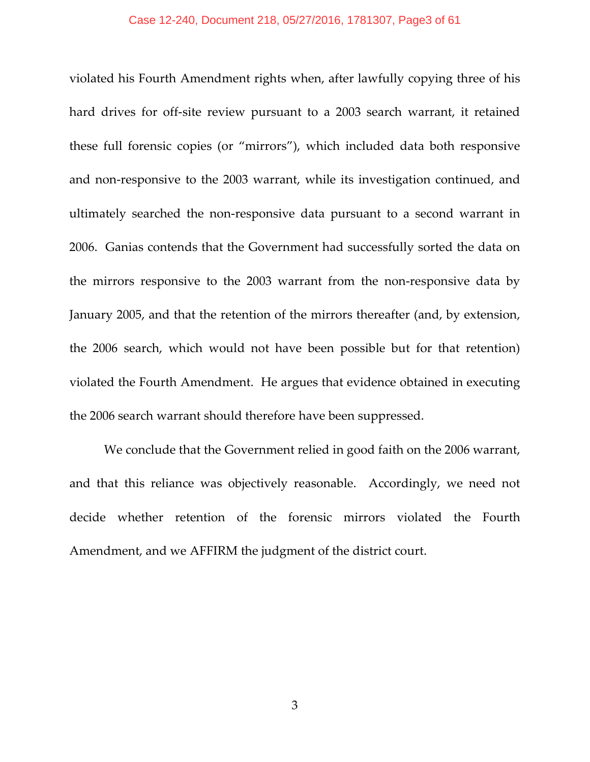violated his Fourth Amendment rights when, after lawfully copying three of his hard drives for off-site review pursuant to a 2003 search warrant, it retained these full forensic copies (or "mirrors"), which included data both responsive and non-responsive to the 2003 warrant, while its investigation continued, and ultimately searched the non-responsive data pursuant to a second warrant in 2006. Ganias contends that the Government had successfully sorted the data on the mirrors responsive to the 2003 warrant from the non-responsive data by January 2005, and that the retention of the mirrors thereafter (and, by extension, the 2006 search, which would not have been possible but for that retention) violated the Fourth Amendment. He argues that evidence obtained in executing the 2006 search warrant should therefore have been suppressed.

We conclude that the Government relied in good faith on the 2006 warrant, and that this reliance was objectively reasonable. Accordingly, we need not decide whether retention of the forensic mirrors violated the Fourth Amendment, and we AFFIRM the judgment of the district court.

3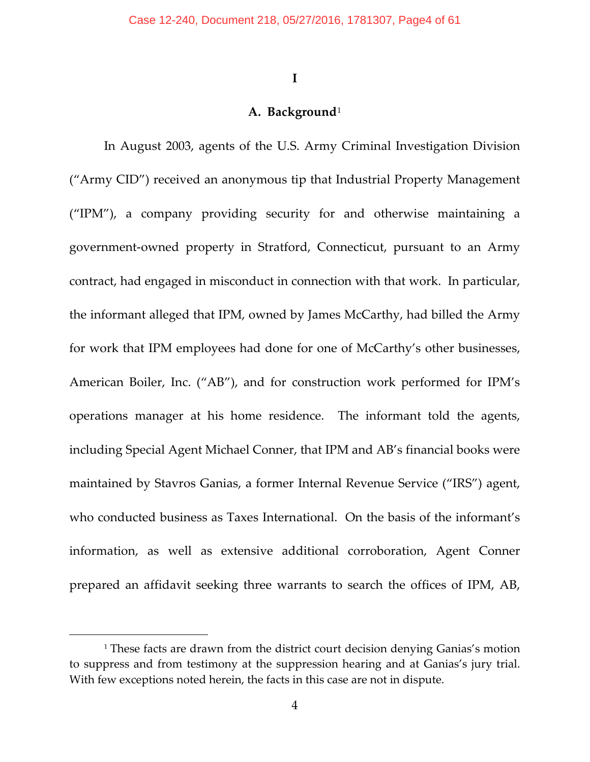**I**

### **A. Background**[1](#page-3-0)

<span id="page-3-0"></span>In August 2003, agents of the U.S. Army Criminal Investigation Division ("Army CID") received an anonymous tip that Industrial Property Management ("IPM"), a company providing security for and otherwise maintaining a government-owned property in Stratford, Connecticut, pursuant to an Army contract, had engaged in misconduct in connection with that work. In particular, the informant alleged that IPM, owned by James McCarthy, had billed the Army for work that IPM employees had done for one of McCarthy's other businesses, American Boiler, Inc. ("AB"), and for construction work performed for IPM's operations manager at his home residence. The informant told the agents, including Special Agent Michael Conner, that IPM and AB's financial books were maintained by Stavros Ganias, a former Internal Revenue Service ("IRS") agent, who conducted business as Taxes International. On the basis of the informant's information, as well as extensive additional corroboration, Agent Conner prepared an affidavit seeking three warrants to search the offices of IPM, AB,

<sup>&</sup>lt;sup>1</sup> These facts are drawn from the district court decision denying Ganias's motion to suppress and from testimony at the suppression hearing and at Ganias's jury trial. With few exceptions noted herein, the facts in this case are not in dispute.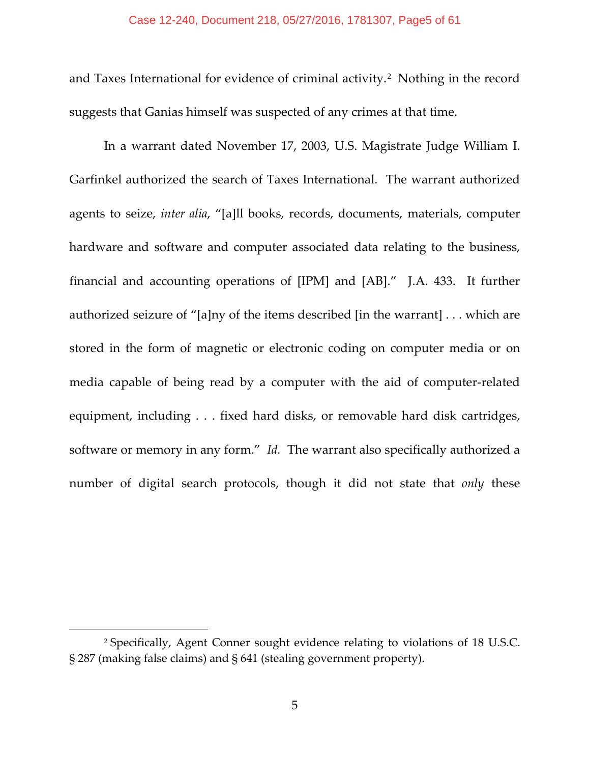#### Case 12-240, Document 218, 05/27/2016, 1781307, Page5 of 61

and Taxes International for evidence of criminal activity.<sup>[2](#page-4-0)</sup> Nothing in the record suggests that Ganias himself was suspected of any crimes at that time.

In a warrant dated November 17, 2003, U.S. Magistrate Judge William I. Garfinkel authorized the search of Taxes International. The warrant authorized agents to seize, *inter alia*, "[a]ll books, records, documents, materials, computer hardware and software and computer associated data relating to the business, financial and accounting operations of [IPM] and [AB]." J.A. 433. It further authorized seizure of "[a]ny of the items described [in the warrant] . . . which are stored in the form of magnetic or electronic coding on computer media or on media capable of being read by a computer with the aid of computer-related equipment, including . . . fixed hard disks, or removable hard disk cartridges, software or memory in any form." *Id.* The warrant also specifically authorized a number of digital search protocols, though it did not state that *only* these

<span id="page-4-0"></span><sup>2</sup> Specifically, Agent Conner sought evidence relating to violations of 18 U.S.C. § 287 (making false claims) and § 641 (stealing government property).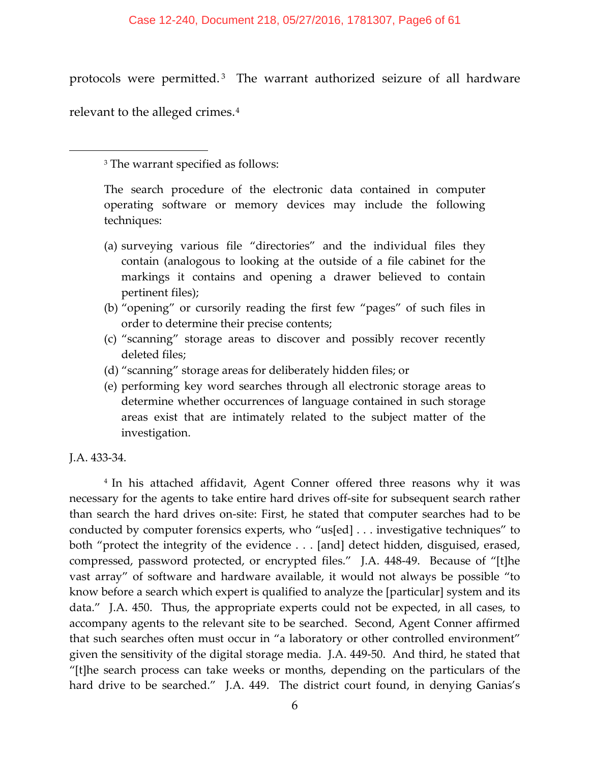#### Case 12-240, Document 218, 05/27/2016, 1781307, Page6 of 61

protocols were permitted. [3](#page-5-0) The warrant authorized seizure of all hardware relevant to the alleged crimes.[4](#page-5-1)

<sup>3</sup> The warrant specified as follows:

The search procedure of the electronic data contained in computer operating software or memory devices may include the following techniques:

- (a) surveying various file "directories" and the individual files they contain (analogous to looking at the outside of a file cabinet for the markings it contains and opening a drawer believed to contain pertinent files);
- (b) "opening" or cursorily reading the first few "pages" of such files in order to determine their precise contents;
- (c) "scanning" storage areas to discover and possibly recover recently deleted files;
- (d) "scanning" storage areas for deliberately hidden files; or
- (e) performing key word searches through all electronic storage areas to determine whether occurrences of language contained in such storage areas exist that are intimately related to the subject matter of the investigation.

J.A. 433-34.

<span id="page-5-0"></span> $\overline{\phantom{a}}$ 

<span id="page-5-1"></span><sup>4</sup> In his attached affidavit, Agent Conner offered three reasons why it was necessary for the agents to take entire hard drives off-site for subsequent search rather than search the hard drives on-site: First, he stated that computer searches had to be conducted by computer forensics experts, who "us[ed] . . . investigative techniques" to both "protect the integrity of the evidence . . . [and] detect hidden, disguised, erased, compressed, password protected, or encrypted files." J.A. 448-49. Because of "[t]he vast array" of software and hardware available, it would not always be possible "to know before a search which expert is qualified to analyze the [particular] system and its data." J.A. 450. Thus, the appropriate experts could not be expected, in all cases, to accompany agents to the relevant site to be searched. Second, Agent Conner affirmed that such searches often must occur in "a laboratory or other controlled environment" given the sensitivity of the digital storage media. J.A. 449-50. And third, he stated that "[t]he search process can take weeks or months, depending on the particulars of the hard drive to be searched." J.A. 449. The district court found, in denying Ganias's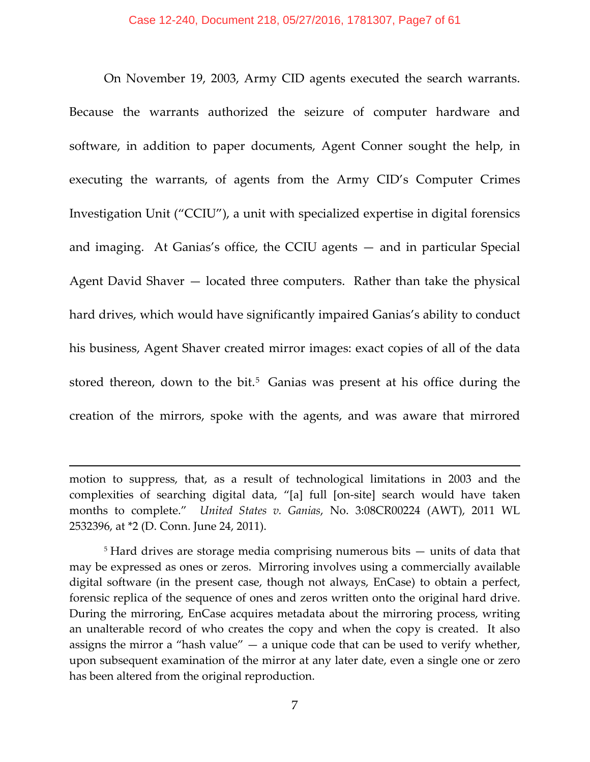On November 19, 2003, Army CID agents executed the search warrants. Because the warrants authorized the seizure of computer hardware and software, in addition to paper documents, Agent Conner sought the help, in executing the warrants, of agents from the Army CID's Computer Crimes Investigation Unit ("CCIU"), a unit with specialized expertise in digital forensics and imaging. At Ganias's office, the CCIU agents — and in particular Special Agent David Shaver — located three computers. Rather than take the physical hard drives, which would have significantly impaired Ganias's ability to conduct his business, Agent Shaver created mirror images: exact copies of all of the data stored thereon, down to the bit.<sup>[5](#page-6-0)</sup> Ganias was present at his office during the creation of the mirrors, spoke with the agents, and was aware that mirrored

motion to suppress, that, as a result of technological limitations in 2003 and the complexities of searching digital data, "[a] full [on-site] search would have taken months to complete." *United States v. Ganias*, No. 3:08CR00224 (AWT), 2011 WL 2532396, at \*2 (D. Conn. June 24, 2011).

l

<span id="page-6-0"></span><sup>5</sup> Hard drives are storage media comprising numerous bits — units of data that may be expressed as ones or zeros. Mirroring involves using a commercially available digital software (in the present case, though not always, EnCase) to obtain a perfect, forensic replica of the sequence of ones and zeros written onto the original hard drive. During the mirroring, EnCase acquires metadata about the mirroring process, writing an unalterable record of who creates the copy and when the copy is created. It also assigns the mirror a "hash value"  $-$  a unique code that can be used to verify whether, upon subsequent examination of the mirror at any later date, even a single one or zero has been altered from the original reproduction.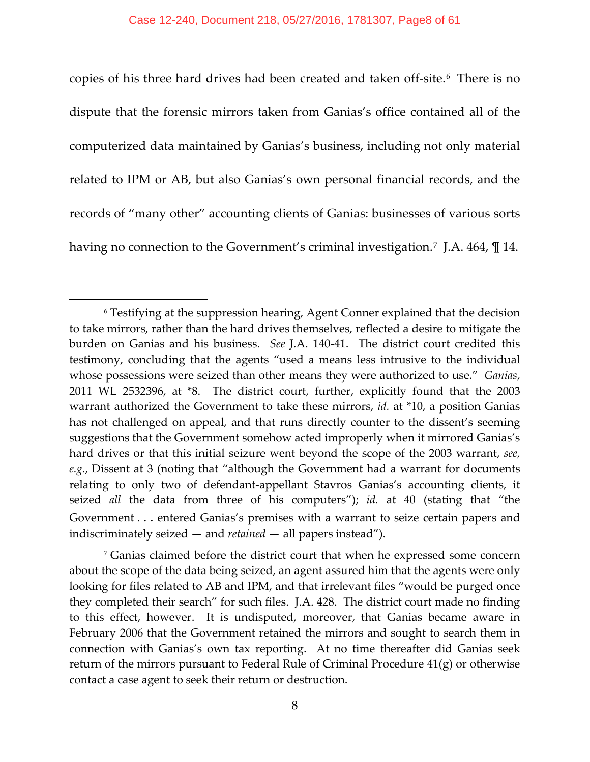copies of his three hard drives had been created and taken off-site.[6](#page-7-0) There is no dispute that the forensic mirrors taken from Ganias's office contained all of the computerized data maintained by Ganias's business, including not only material related to IPM or AB, but also Ganias's own personal financial records, and the records of "many other" accounting clients of Ganias: businesses of various sorts having no connection to the Government's criminal investigation.<sup>7</sup> J.A. 464,  $\mathbb{I}$  14.

<span id="page-7-0"></span><sup>6</sup> Testifying at the suppression hearing, Agent Conner explained that the decision to take mirrors, rather than the hard drives themselves, reflected a desire to mitigate the burden on Ganias and his business. *See* J.A. 140-41. The district court credited this testimony, concluding that the agents "used a means less intrusive to the individual whose possessions were seized than other means they were authorized to use." *Ganias*, 2011 WL 2532396, at \*8. The district court, further, explicitly found that the 2003 warrant authorized the Government to take these mirrors, *id.* at \*10, a position Ganias has not challenged on appeal, and that runs directly counter to the dissent's seeming suggestions that the Government somehow acted improperly when it mirrored Ganias's hard drives or that this initial seizure went beyond the scope of the 2003 warrant, *see, e.g.*, Dissent at 3 (noting that "although the Government had a warrant for documents relating to only two of defendant-appellant Stavros Ganias's accounting clients, it seized *all* the data from three of his computers"); *id.* at 40 (stating that "the Government . . . entered Ganias's premises with a warrant to seize certain papers and indiscriminately seized — and *retained* — all papers instead").

<span id="page-7-1"></span><sup>7</sup> Ganias claimed before the district court that when he expressed some concern about the scope of the data being seized, an agent assured him that the agents were only looking for files related to AB and IPM, and that irrelevant files "would be purged once they completed their search" for such files. J.A. 428.The district court made no finding to this effect, however. It is undisputed, moreover, that Ganias became aware in February 2006 that the Government retained the mirrors and sought to search them in connection with Ganias's own tax reporting. At no time thereafter did Ganias seek return of the mirrors pursuant to Federal Rule of Criminal Procedure 41(g) or otherwise contact a case agent to seek their return or destruction.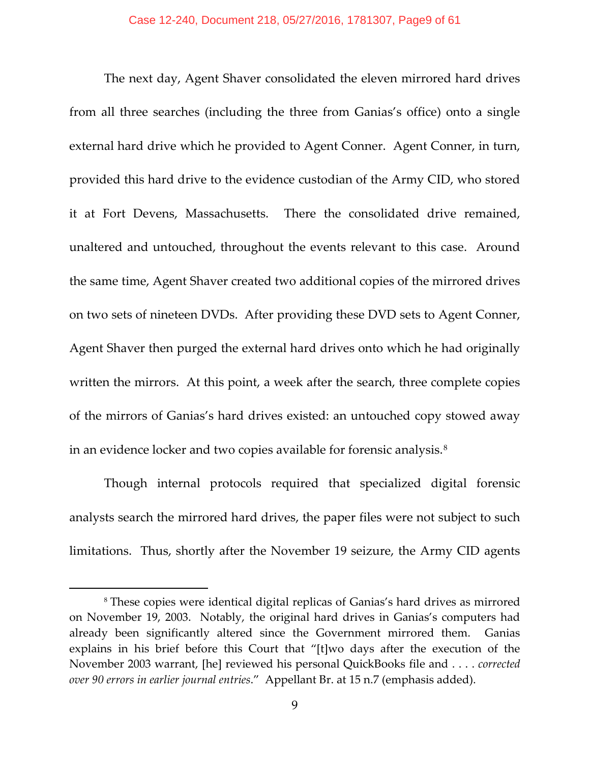The next day, Agent Shaver consolidated the eleven mirrored hard drives from all three searches (including the three from Ganias's office) onto a single external hard drive which he provided to Agent Conner. Agent Conner, in turn, provided this hard drive to the evidence custodian of the Army CID, who stored it at Fort Devens, Massachusetts. There the consolidated drive remained, unaltered and untouched, throughout the events relevant to this case. Around the same time, Agent Shaver created two additional copies of the mirrored drives on two sets of nineteen DVDs. After providing these DVD sets to Agent Conner, Agent Shaver then purged the external hard drives onto which he had originally written the mirrors. At this point, a week after the search, three complete copies of the mirrors of Ganias's hard drives existed: an untouched copy stowed away in an evidence locker and two copies available for forensic analysis.<sup>[8](#page-8-0)</sup>

Though internal protocols required that specialized digital forensic analysts search the mirrored hard drives, the paper files were not subject to such limitations. Thus, shortly after the November 19 seizure, the Army CID agents

<span id="page-8-0"></span><sup>8</sup> These copies were identical digital replicas of Ganias's hard drives as mirrored on November 19, 2003. Notably, the original hard drives in Ganias's computers had already been significantly altered since the Government mirrored them. Ganias explains in his brief before this Court that "[t]wo days after the execution of the November 2003 warrant, [he] reviewed his personal QuickBooks file and . . . . *corrected over 90 errors in earlier journal entries*." Appellant Br. at 15 n.7 (emphasis added).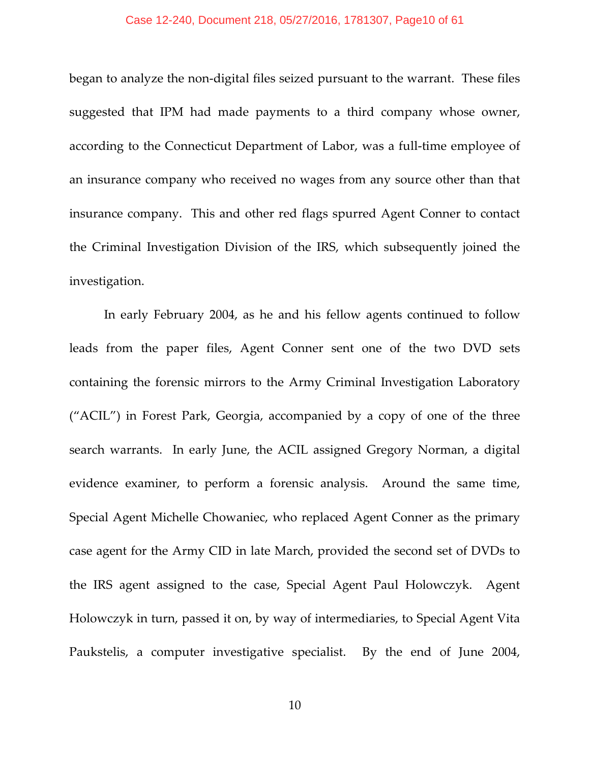#### Case 12-240, Document 218, 05/27/2016, 1781307, Page10 of 61

began to analyze the non-digital files seized pursuant to the warrant. These files suggested that IPM had made payments to a third company whose owner, according to the Connecticut Department of Labor, was a full-time employee of an insurance company who received no wages from any source other than that insurance company. This and other red flags spurred Agent Conner to contact the Criminal Investigation Division of the IRS, which subsequently joined the investigation.

In early February 2004, as he and his fellow agents continued to follow leads from the paper files, Agent Conner sent one of the two DVD sets containing the forensic mirrors to the Army Criminal Investigation Laboratory ("ACIL") in Forest Park, Georgia, accompanied by a copy of one of the three search warrants. In early June, the ACIL assigned Gregory Norman, a digital evidence examiner, to perform a forensic analysis. Around the same time, Special Agent Michelle Chowaniec, who replaced Agent Conner as the primary case agent for the Army CID in late March, provided the second set of DVDs to the IRS agent assigned to the case, Special Agent Paul Holowczyk. Agent Holowczyk in turn, passed it on, by way of intermediaries, to Special Agent Vita Paukstelis, a computer investigative specialist. By the end of June 2004,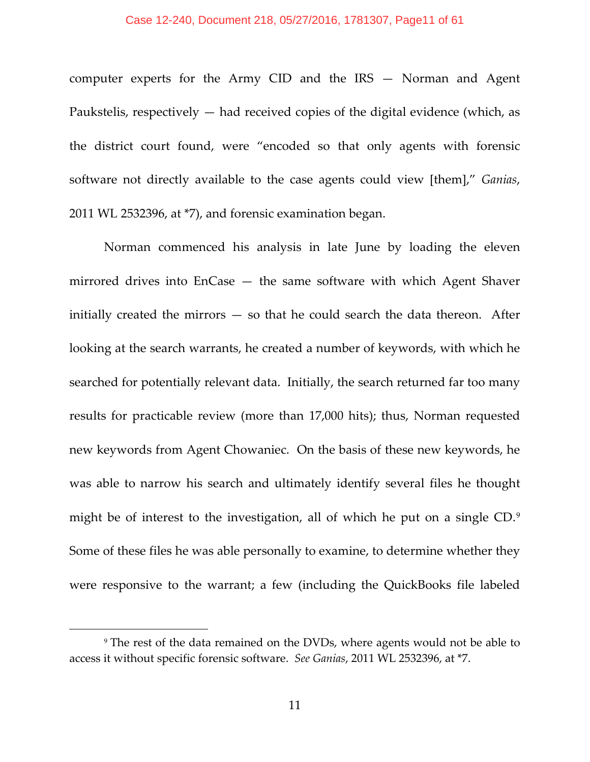computer experts for the Army CID and the IRS — Norman and Agent Paukstelis, respectively  $-$  had received copies of the digital evidence (which, as the district court found, were "encoded so that only agents with forensic software not directly available to the case agents could view [them]," *Ganias*, 2011 WL 2532396, at \*7), and forensic examination began.

Norman commenced his analysis in late June by loading the eleven mirrored drives into EnCase — the same software with which Agent Shaver initially created the mirrors — so that he could search the data thereon. After looking at the search warrants, he created a number of keywords, with which he searched for potentially relevant data. Initially, the search returned far too many results for practicable review (more than 17,000 hits); thus, Norman requested new keywords from Agent Chowaniec. On the basis of these new keywords, he was able to narrow his search and ultimately identify several files he thought might be of interest to the investigation, all of which he put on a single CD.[9](#page-10-0) Some of these files he was able personally to examine, to determine whether they were responsive to the warrant; a few (including the QuickBooks file labeled

<span id="page-10-0"></span><sup>9</sup> The rest of the data remained on the DVDs, where agents would not be able to access it without specific forensic software. *See Ganias*, 2011 WL 2532396, at \*7.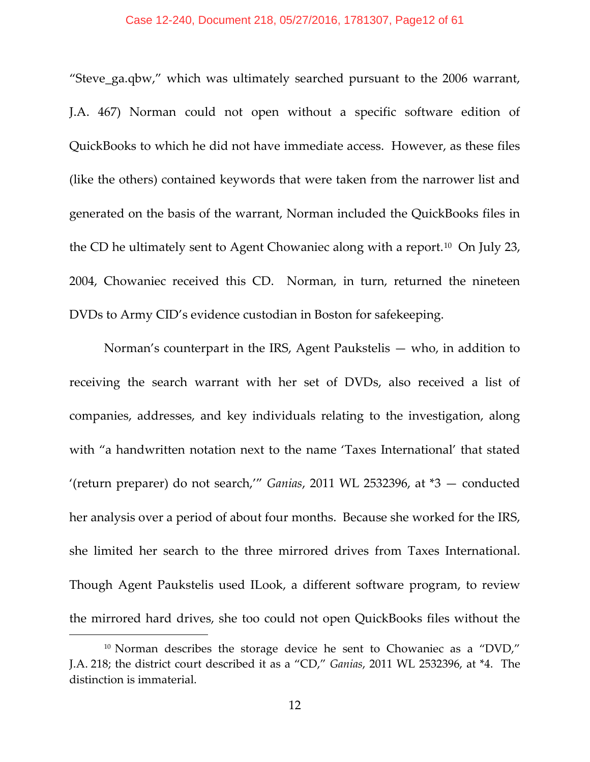#### Case 12-240, Document 218, 05/27/2016, 1781307, Page12 of 61

"Steve\_ga.qbw," which was ultimately searched pursuant to the 2006 warrant, J.A. 467) Norman could not open without a specific software edition of QuickBooks to which he did not have immediate access. However, as these files (like the others) contained keywords that were taken from the narrower list and generated on the basis of the warrant, Norman included the QuickBooks files in the CD he ultimately sent to Agent Chowaniec along with a report.[10](#page-11-0) On July 23, 2004, Chowaniec received this CD. Norman, in turn, returned the nineteen DVDs to Army CID's evidence custodian in Boston for safekeeping.

Norman's counterpart in the IRS, Agent Paukstelis — who, in addition to receiving the search warrant with her set of DVDs, also received a list of companies, addresses, and key individuals relating to the investigation, along with "a handwritten notation next to the name 'Taxes International' that stated '(return preparer) do not search,'" *Ganias*, 2011 WL 2532396, at \*3 — conducted her analysis over a period of about four months. Because she worked for the IRS, she limited her search to the three mirrored drives from Taxes International. Though Agent Paukstelis used ILook, a different software program, to review the mirrored hard drives, she too could not open QuickBooks files without the

<span id="page-11-0"></span><sup>&</sup>lt;sup>10</sup> Norman describes the storage device he sent to Chowaniec as a "DVD," J.A. 218; the district court described it as a "CD," *Ganias*, 2011 WL 2532396, at \*4. The distinction is immaterial.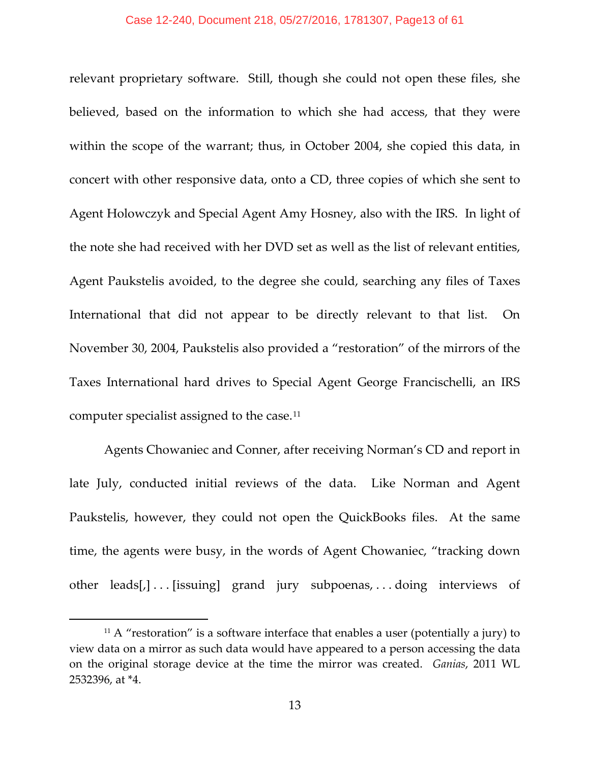relevant proprietary software. Still, though she could not open these files, she believed, based on the information to which she had access, that they were within the scope of the warrant; thus, in October 2004, she copied this data, in concert with other responsive data, onto a CD, three copies of which she sent to Agent Holowczyk and Special Agent Amy Hosney, also with the IRS. In light of the note she had received with her DVD set as well as the list of relevant entities, Agent Paukstelis avoided, to the degree she could, searching any files of Taxes International that did not appear to be directly relevant to that list. On November 30, 2004, Paukstelis also provided a "restoration" of the mirrors of the Taxes International hard drives to Special Agent George Francischelli, an IRS computer specialist assigned to the case.[11](#page-12-0)

Agents Chowaniec and Conner, after receiving Norman's CD and report in late July, conducted initial reviews of the data. Like Norman and Agent Paukstelis, however, they could not open the QuickBooks files. At the same time, the agents were busy, in the words of Agent Chowaniec, "tracking down other leads[,] . . . [issuing] grand jury subpoenas, . . . doing interviews of

<span id="page-12-0"></span> $11$  A "restoration" is a software interface that enables a user (potentially a jury) to view data on a mirror as such data would have appeared to a person accessing the data on the original storage device at the time the mirror was created. *Ganias*, 2011 WL 2532396, at \*4.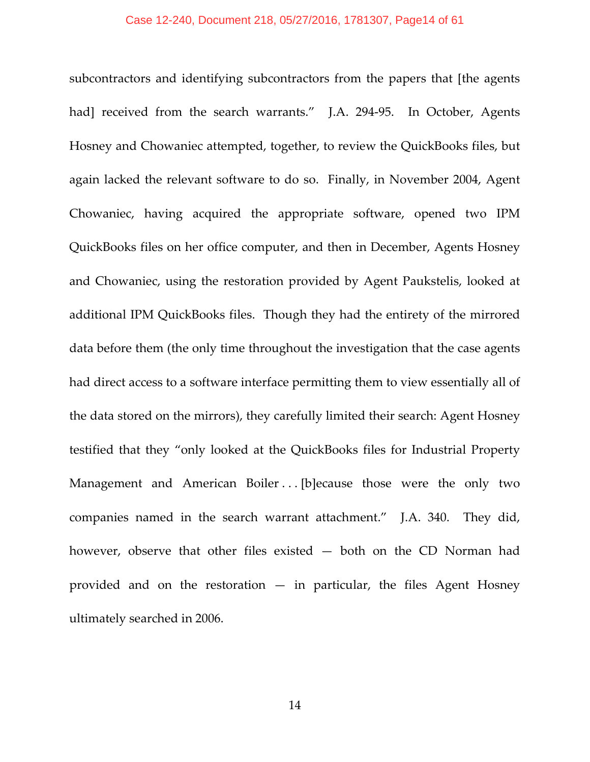subcontractors and identifying subcontractors from the papers that [the agents had] received from the search warrants." J.A. 294-95. In October, Agents Hosney and Chowaniec attempted, together, to review the QuickBooks files, but again lacked the relevant software to do so. Finally, in November 2004, Agent Chowaniec, having acquired the appropriate software, opened two IPM QuickBooks files on her office computer, and then in December, Agents Hosney and Chowaniec, using the restoration provided by Agent Paukstelis, looked at additional IPM QuickBooks files. Though they had the entirety of the mirrored data before them (the only time throughout the investigation that the case agents had direct access to a software interface permitting them to view essentially all of the data stored on the mirrors), they carefully limited their search: Agent Hosney testified that they "only looked at the QuickBooks files for Industrial Property Management and American Boiler ... [b]ecause those were the only two companies named in the search warrant attachment." J.A. 340. They did, however, observe that other files existed — both on the CD Norman had provided and on the restoration  $-$  in particular, the files Agent Hosney ultimately searched in 2006.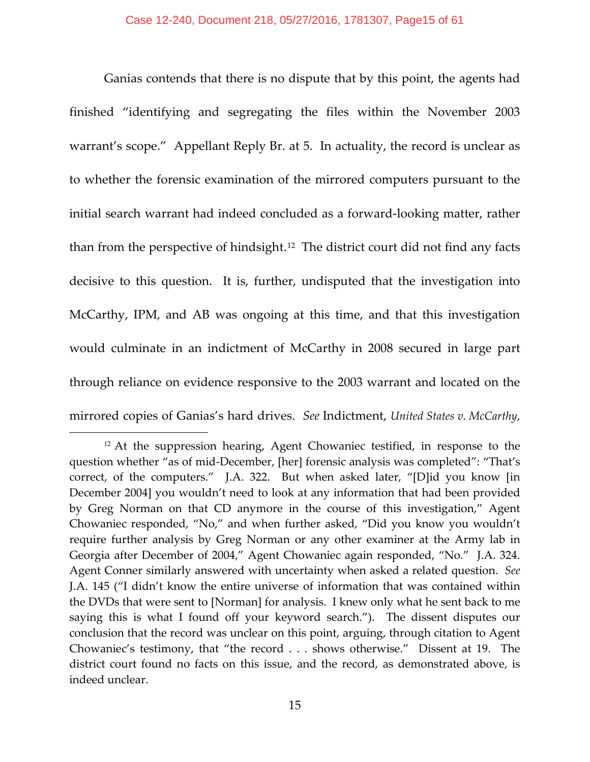Ganias contends that there is no dispute that by this point, the agents had finished "identifying and segregating the files within the November 2003 warrant's scope." Appellant Reply Br. at 5. In actuality, the record is unclear as to whether the forensic examination of the mirrored computers pursuant to the initial search warrant had indeed concluded as a forward-looking matter, rather than from the perspective of hindsight.<sup>[12](#page-14-0)</sup> The district court did not find any facts decisive to this question. It is, further, undisputed that the investigation into McCarthy, IPM, and AB was ongoing at this time, and that this investigation would culminate in an indictment of McCarthy in 2008 secured in large part through reliance on evidence responsive to the 2003 warrant and located on the mirrored copies of Ganias's hard drives. *See* Indictment, *United States v. McCarthy*,

<span id="page-14-0"></span><sup>&</sup>lt;sup>12</sup> At the suppression hearing, Agent Chowaniec testified, in response to the question whether "as of mid-December, [her] forensic analysis was completed": "That's correct, of the computers." J.A. 322. But when asked later, "[D]id you know [in December 2004] you wouldn't need to look at any information that had been provided by Greg Norman on that CD anymore in the course of this investigation," Agent Chowaniec responded, "No," and when further asked, "Did you know you wouldn't require further analysis by Greg Norman or any other examiner at the Army lab in Georgia after December of 2004," Agent Chowaniec again responded, "No." J.A. 324. Agent Conner similarly answered with uncertainty when asked a related question. *See* J.A. 145 ("I didn't know the entire universe of information that was contained within the DVDs that were sent to [Norman] for analysis. I knew only what he sent back to me saying this is what I found off your keyword search."). The dissent disputes our conclusion that the record was unclear on this point, arguing, through citation to Agent Chowaniec's testimony, that "the record . . . shows otherwise." Dissent at 19. The district court found no facts on this issue, and the record, as demonstrated above, is indeed unclear.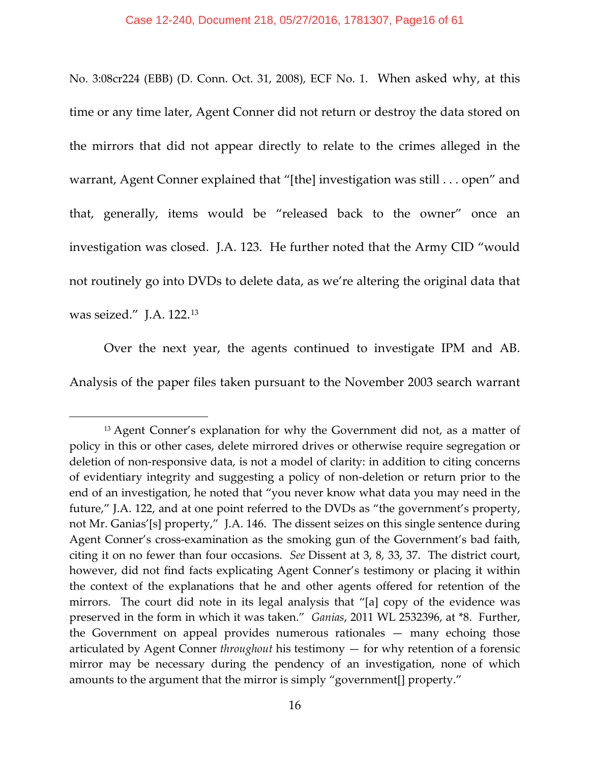No. 3:08cr224 (EBB) (D. Conn. Oct. 31, 2008), ECF No. 1. When asked why, at this time or any time later, Agent Conner did not return or destroy the data stored on the mirrors that did not appear directly to relate to the crimes alleged in the warrant, Agent Conner explained that "[the] investigation was still . . . open" and that, generally, items would be "released back to the owner" once an investigation was closed. J.A. 123. He further noted that the Army CID "would not routinely go into DVDs to delete data, as we're altering the original data that was seized." J.A. 122.[13](#page-15-0)

Over the next year, the agents continued to investigate IPM and AB. Analysis of the paper files taken pursuant to the November 2003 search warrant

<span id="page-15-0"></span><sup>&</sup>lt;sup>13</sup> Agent Conner's explanation for why the Government did not, as a matter of policy in this or other cases, delete mirrored drives or otherwise require segregation or deletion of non-responsive data, is not a model of clarity: in addition to citing concerns of evidentiary integrity and suggesting a policy of non-deletion or return prior to the end of an investigation, he noted that "you never know what data you may need in the future," J.A. 122, and at one point referred to the DVDs as "the government's property, not Mr. Ganias'[s] property," J.A. 146. The dissent seizes on this single sentence during Agent Conner's cross-examination as the smoking gun of the Government's bad faith, citing it on no fewer than four occasions. *See* Dissent at 3, 8, 33, 37. The district court, however, did not find facts explicating Agent Conner's testimony or placing it within the context of the explanations that he and other agents offered for retention of the mirrors. The court did note in its legal analysis that "[a] copy of the evidence was preserved in the form in which it was taken." *Ganias*, 2011 WL 2532396, at \*8. Further, the Government on appeal provides numerous rationales — many echoing those articulated by Agent Conner *throughout* his testimony — for why retention of a forensic mirror may be necessary during the pendency of an investigation, none of which amounts to the argument that the mirror is simply "government[] property."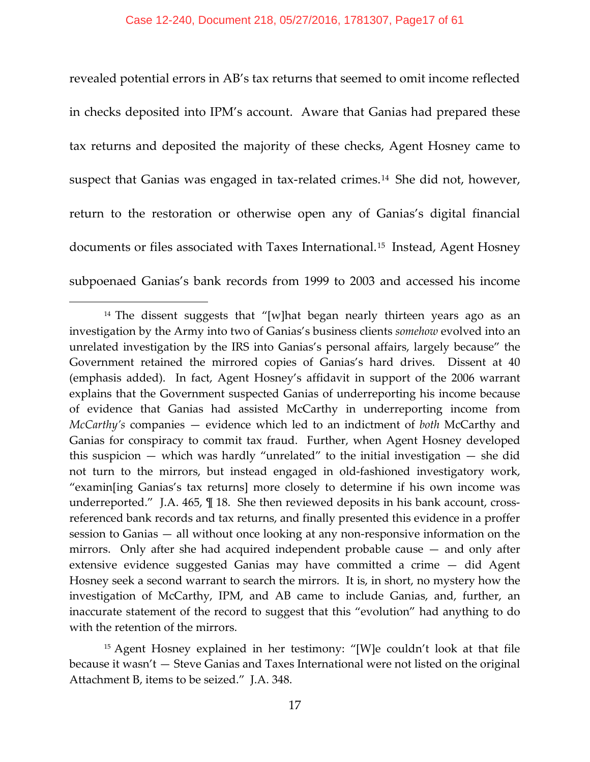revealed potential errors in AB's tax returns that seemed to omit income reflected in checks deposited into IPM's account. Aware that Ganias had prepared these tax returns and deposited the majority of these checks, Agent Hosney came to suspect that Ganias was engaged in tax-related crimes.<sup>[14](#page-16-0)</sup> She did not, however, return to the restoration or otherwise open any of Ganias's digital financial documents or files associated with Taxes International.<sup>[15](#page-16-1)</sup> Instead, Agent Hosney subpoenaed Ganias's bank records from 1999 to 2003 and accessed his income

<span id="page-16-0"></span><sup>&</sup>lt;sup>14</sup> The dissent suggests that "[w]hat began nearly thirteen years ago as an investigation by the Army into two of Ganias's business clients *somehow* evolved into an unrelated investigation by the IRS into Ganias's personal affairs, largely because" the Government retained the mirrored copies of Ganias's hard drives. Dissent at 40 (emphasis added). In fact, Agent Hosney's affidavit in support of the 2006 warrant explains that the Government suspected Ganias of underreporting his income because of evidence that Ganias had assisted McCarthy in underreporting income from *McCarthy's* companies — evidence which led to an indictment of *both* McCarthy and Ganias for conspiracy to commit tax fraud. Further, when Agent Hosney developed this suspicion — which was hardly "unrelated" to the initial investigation — she did not turn to the mirrors, but instead engaged in old-fashioned investigatory work, "examin[ing Ganias's tax returns] more closely to determine if his own income was underreported." J.A. 465, ¶ 18. She then reviewed deposits in his bank account, crossreferenced bank records and tax returns, and finally presented this evidence in a proffer session to Ganias — all without once looking at any non-responsive information on the mirrors. Only after she had acquired independent probable cause — and only after extensive evidence suggested Ganias may have committed a crime — did Agent Hosney seek a second warrant to search the mirrors. It is, in short, no mystery how the investigation of McCarthy, IPM, and AB came to include Ganias, and, further, an inaccurate statement of the record to suggest that this "evolution" had anything to do with the retention of the mirrors.

<span id="page-16-1"></span><sup>15</sup> Agent Hosney explained in her testimony: "[W]e couldn't look at that file because it wasn't — Steve Ganias and Taxes International were not listed on the original Attachment B, items to be seized." J.A. 348.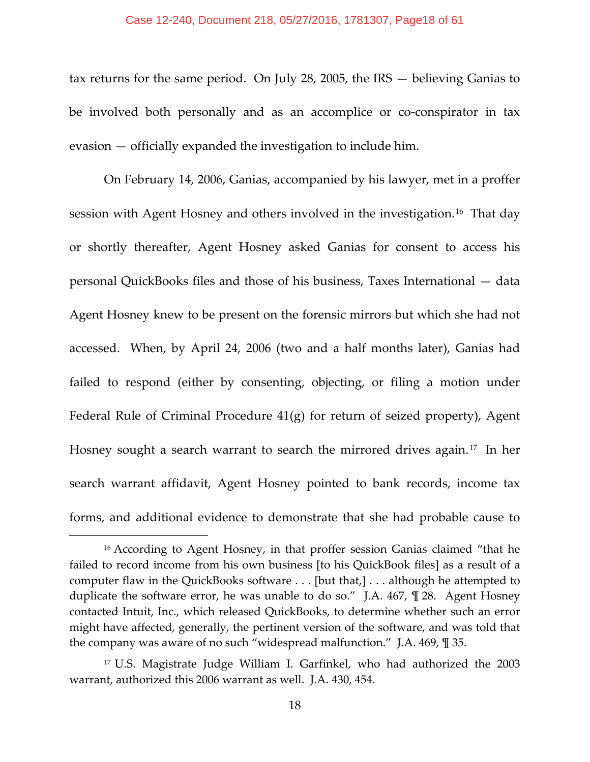#### Case 12-240, Document 218, 05/27/2016, 1781307, Page18 of 61

tax returns for the same period. On July 28, 2005, the IRS — believing Ganias to be involved both personally and as an accomplice or co-conspirator in tax evasion — officially expanded the investigation to include him.

On February 14, 2006, Ganias, accompanied by his lawyer, met in a proffer session with Agent Hosney and others involved in the investigation.[16](#page-17-0) That day or shortly thereafter, Agent Hosney asked Ganias for consent to access his personal QuickBooks files and those of his business, Taxes International — data Agent Hosney knew to be present on the forensic mirrors but which she had not accessed. When, by April 24, 2006 (two and a half months later), Ganias had failed to respond (either by consenting, objecting, or filing a motion under Federal Rule of Criminal Procedure 41(g) for return of seized property), Agent Hosney sought a search warrant to search the mirrored drives again.<sup>[17](#page-17-1)</sup> In her search warrant affidavit, Agent Hosney pointed to bank records, income tax forms, and additional evidence to demonstrate that she had probable cause to

<span id="page-17-0"></span><sup>&</sup>lt;sup>16</sup> According to Agent Hosney, in that proffer session Ganias claimed "that he failed to record income from his own business [to his QuickBook files] as a result of a computer flaw in the QuickBooks software . . . [but that,] . . . although he attempted to duplicate the software error, he was unable to do so." J.A. 467, ¶ 28. Agent Hosney contacted Intuit, Inc., which released QuickBooks, to determine whether such an error might have affected, generally, the pertinent version of the software, and was told that the company was aware of no such "widespread malfunction." J.A. 469, ¶ 35.

<span id="page-17-1"></span><sup>17</sup> U.S. Magistrate Judge William I. Garfinkel, who had authorized the 2003 warrant, authorized this 2006 warrant as well. J.A. 430, 454.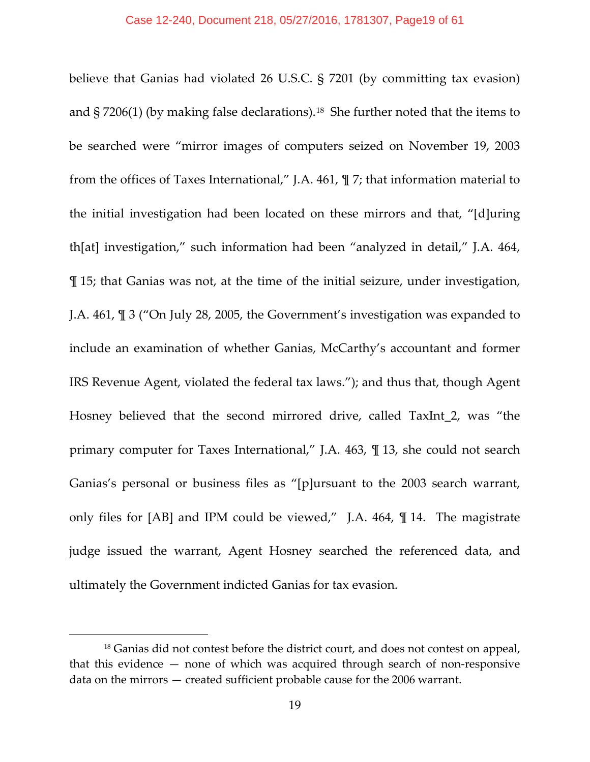believe that Ganias had violated 26 U.S.C. § 7201 (by committing tax evasion) and  $\S 7206(1)$  (by making false declarations).<sup>[18](#page-18-0)</sup> She further noted that the items to be searched were "mirror images of computers seized on November 19, 2003 from the offices of Taxes International," J.A. 461, ¶ 7; that information material to the initial investigation had been located on these mirrors and that, "[d]uring th[at] investigation," such information had been "analyzed in detail," J.A. 464, ¶ 15; that Ganias was not, at the time of the initial seizure, under investigation, J.A. 461, ¶ 3 ("On July 28, 2005, the Government's investigation was expanded to include an examination of whether Ganias, McCarthy's accountant and former IRS Revenue Agent, violated the federal tax laws."); and thus that, though Agent Hosney believed that the second mirrored drive, called TaxInt\_2, was "the primary computer for Taxes International," J.A. 463, ¶ 13, she could not search Ganias's personal or business files as "[p]ursuant to the 2003 search warrant, only files for [AB] and IPM could be viewed," J.A. 464, ¶ 14. The magistrate judge issued the warrant, Agent Hosney searched the referenced data, and ultimately the Government indicted Ganias for tax evasion.

<span id="page-18-0"></span><sup>&</sup>lt;sup>18</sup> Ganias did not contest before the district court, and does not contest on appeal, that this evidence — none of which was acquired through search of non-responsive data on the mirrors — created sufficient probable cause for the 2006 warrant.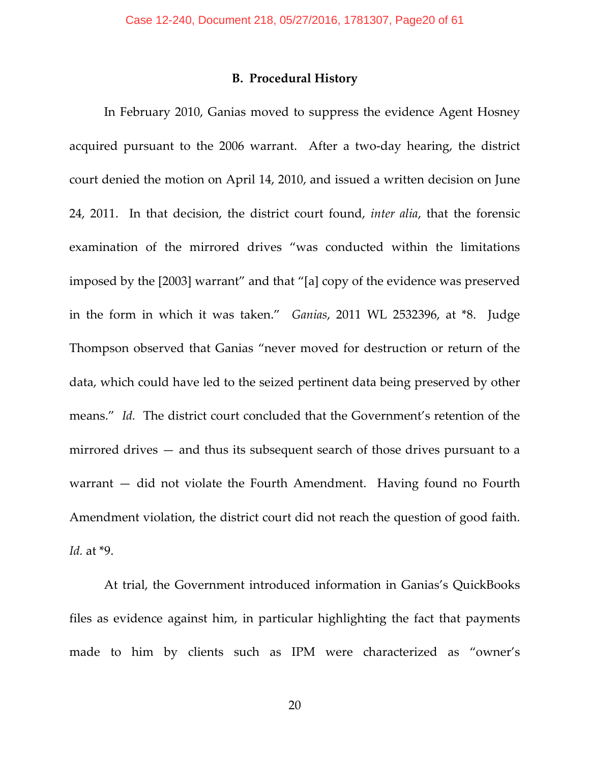#### **B. Procedural History**

In February 2010, Ganias moved to suppress the evidence Agent Hosney acquired pursuant to the 2006 warrant. After a two-day hearing, the district court denied the motion on April 14, 2010, and issued a written decision on June 24, 2011. In that decision, the district court found, *inter alia*, that the forensic examination of the mirrored drives "was conducted within the limitations imposed by the [2003] warrant" and that "[a] copy of the evidence was preserved in the form in which it was taken." *Ganias*, 2011 WL 2532396, at \*8. Judge Thompson observed that Ganias "never moved for destruction or return of the data, which could have led to the seized pertinent data being preserved by other means." *Id.* The district court concluded that the Government's retention of the mirrored drives — and thus its subsequent search of those drives pursuant to a warrant — did not violate the Fourth Amendment. Having found no Fourth Amendment violation, the district court did not reach the question of good faith. *Id.* at \*9.

At trial, the Government introduced information in Ganias's QuickBooks files as evidence against him, in particular highlighting the fact that payments made to him by clients such as IPM were characterized as "owner's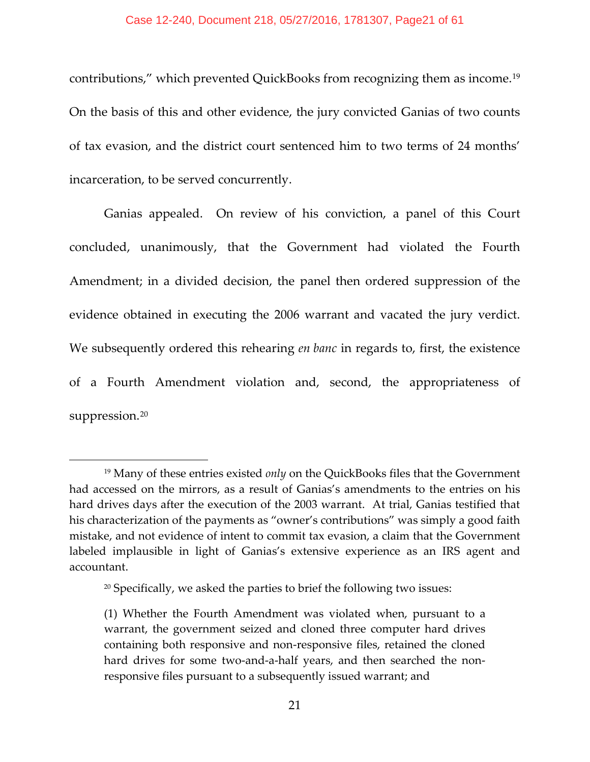contributions," which prevented QuickBooks from recognizing them as income.[19](#page-20-0) On the basis of this and other evidence, the jury convicted Ganias of two counts of tax evasion, and the district court sentenced him to two terms of 24 months' incarceration, to be served concurrently.

Ganias appealed. On review of his conviction, a panel of this Court concluded, unanimously, that the Government had violated the Fourth Amendment; in a divided decision, the panel then ordered suppression of the evidence obtained in executing the 2006 warrant and vacated the jury verdict. We subsequently ordered this rehearing *en banc* in regards to, first, the existence of a Fourth Amendment violation and, second, the appropriateness of suppression.<sup>[20](#page-20-1)</sup>

<span id="page-20-0"></span><sup>19</sup> Many of these entries existed *only* on the QuickBooks files that the Government had accessed on the mirrors, as a result of Ganias's amendments to the entries on his hard drives days after the execution of the 2003 warrant. At trial, Ganias testified that his characterization of the payments as "owner's contributions" was simply a good faith mistake, and not evidence of intent to commit tax evasion, a claim that the Government labeled implausible in light of Ganias's extensive experience as an IRS agent and accountant.

<span id="page-20-1"></span> $20$  Specifically, we asked the parties to brief the following two issues:

<sup>(1)</sup> Whether the Fourth Amendment was violated when, pursuant to a warrant, the government seized and cloned three computer hard drives containing both responsive and non-responsive files, retained the cloned hard drives for some two-and-a-half years, and then searched the nonresponsive files pursuant to a subsequently issued warrant; and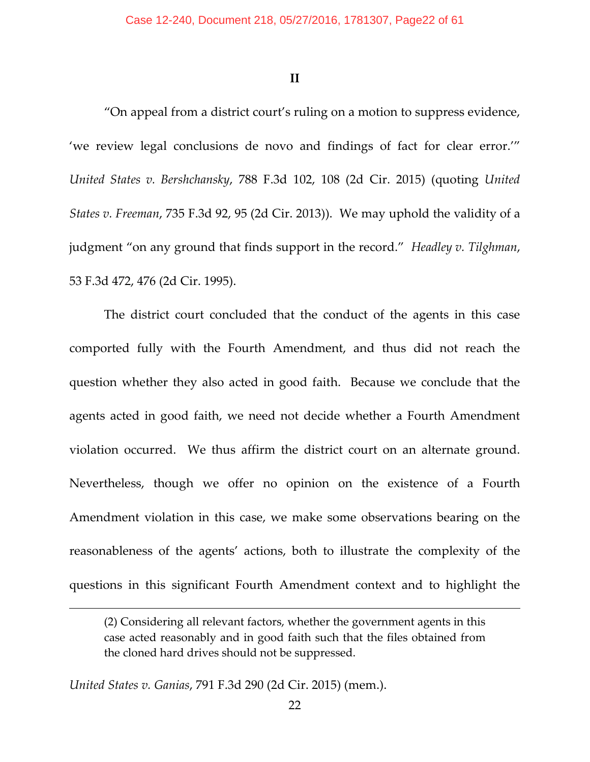**II**

"On appeal from a district court's ruling on a motion to suppress evidence, 'we review legal conclusions de novo and findings of fact for clear error.'" *United States v. Bershchansky*, 788 F.3d 102, 108 (2d Cir. 2015) (quoting *United States v. Freeman*, 735 F.3d 92, 95 (2d Cir. 2013)). We may uphold the validity of a judgment "on any ground that finds support in the record." *Headley v. Tilghman*, 53 F.3d 472, 476 (2d Cir. 1995).

The district court concluded that the conduct of the agents in this case comported fully with the Fourth Amendment, and thus did not reach the question whether they also acted in good faith. Because we conclude that the agents acted in good faith, we need not decide whether a Fourth Amendment violation occurred. We thus affirm the district court on an alternate ground. Nevertheless, though we offer no opinion on the existence of a Fourth Amendment violation in this case, we make some observations bearing on the reasonableness of the agents' actions, both to illustrate the complexity of the questions in this significant Fourth Amendment context and to highlight the

*United States v. Ganias*, 791 F.3d 290 (2d Cir. 2015) (mem.).

<sup>(2)</sup> Considering all relevant factors, whether the government agents in this case acted reasonably and in good faith such that the files obtained from the cloned hard drives should not be suppressed.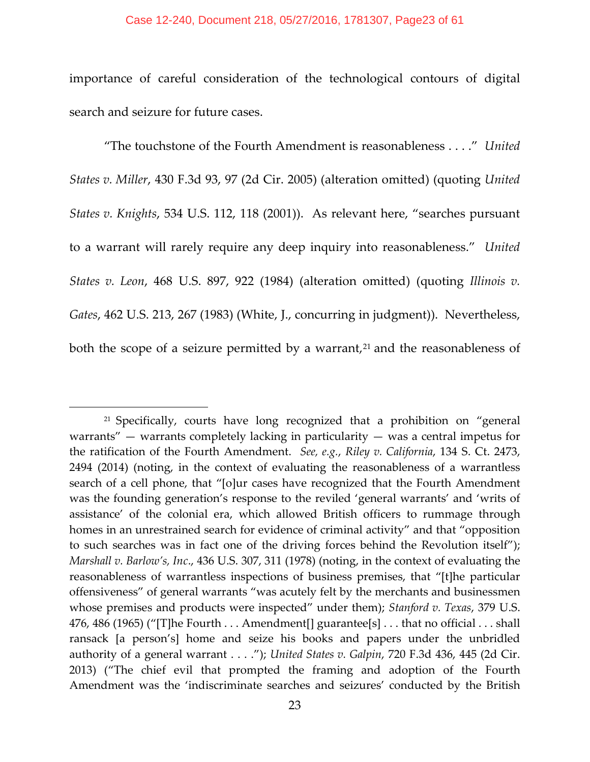importance of careful consideration of the technological contours of digital search and seizure for future cases.

"The touchstone of the Fourth Amendment is reasonableness . . . ." *United States v. Miller*, 430 F.3d 93, 97 (2d Cir. 2005) (alteration omitted) (quoting *United States v. Knights*, 534 U.S. 112, 118 (2001)). As relevant here, "searches pursuant to a warrant will rarely require any deep inquiry into reasonableness." *United States v. Leon*, 468 U.S. 897, 922 (1984) (alteration omitted) (quoting *Illinois v. Gates*, 462 U.S. 213, 267 (1983) (White, J., concurring in judgment)). Nevertheless, both the scope of a seizure permitted by a warrant, $2<sup>1</sup>$  and the reasonableness of

<span id="page-22-0"></span><sup>&</sup>lt;sup>21</sup> Specifically, courts have long recognized that a prohibition on "general warrants"  $-$  warrants completely lacking in particularity  $-$  was a central impetus for the ratification of the Fourth Amendment. *See, e.g.*, *Riley v. California*, 134 S. Ct. 2473, 2494 (2014) (noting, in the context of evaluating the reasonableness of a warrantless search of a cell phone, that "[o]ur cases have recognized that the Fourth Amendment was the founding generation's response to the reviled 'general warrants' and 'writs of assistance' of the colonial era, which allowed British officers to rummage through homes in an unrestrained search for evidence of criminal activity" and that "opposition to such searches was in fact one of the driving forces behind the Revolution itself"); *Marshall v. Barlow's, Inc*., 436 U.S. 307, 311 (1978) (noting, in the context of evaluating the reasonableness of warrantless inspections of business premises, that "[t]he particular offensiveness" of general warrants "was acutely felt by the merchants and businessmen whose premises and products were inspected" under them); *Stanford v. Texas*, 379 U.S. 476, 486 (1965) ("[T]he Fourth . . . Amendment[] guarantee[s] . . . that no official . . . shall ransack [a person's] home and seize his books and papers under the unbridled authority of a general warrant . . . ."); *United States v. Galpin*, 720 F.3d 436, 445 (2d Cir. 2013) ("The chief evil that prompted the framing and adoption of the Fourth Amendment was the 'indiscriminate searches and seizures' conducted by the British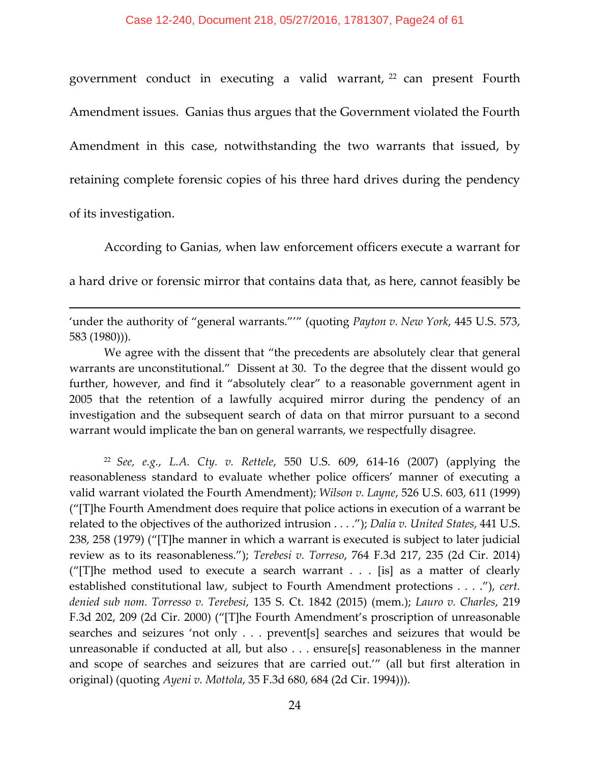government conduct in executing a valid warrant, [22](#page-23-0) can present Fourth Amendment issues. Ganias thus argues that the Government violated the Fourth Amendment in this case, notwithstanding the two warrants that issued, by retaining complete forensic copies of his three hard drives during the pendency of its investigation.

According to Ganias, when law enforcement officers execute a warrant for a hard drive or forensic mirror that contains data that, as here, cannot feasibly be

'under the authority of "general warrants."'" (quoting *Payton v. New York*, 445 U.S. 573, 583 (1980))).

 $\overline{\phantom{a}}$ 

We agree with the dissent that "the precedents are absolutely clear that general warrants are unconstitutional." Dissent at 30. To the degree that the dissent would go further, however, and find it "absolutely clear" to a reasonable government agent in 2005 that the retention of a lawfully acquired mirror during the pendency of an investigation and the subsequent search of data on that mirror pursuant to a second warrant would implicate the ban on general warrants, we respectfully disagree.

<span id="page-23-0"></span><sup>22</sup> *See, e.g.*, *L.A. Cty. v. Rettele*, 550 U.S. 609, 614-16 (2007) (applying the reasonableness standard to evaluate whether police officers' manner of executing a valid warrant violated the Fourth Amendment); *Wilson v. Layne*, 526 U.S. 603, 611 (1999) ("[T]he Fourth Amendment does require that police actions in execution of a warrant be related to the objectives of the authorized intrusion . . . ."); *Dalia v. United States*, 441 U.S. 238, 258 (1979) ("[T]he manner in which a warrant is executed is subject to later judicial review as to its reasonableness."); *Terebesi v. Torreso*, 764 F.3d 217, 235 (2d Cir. 2014) ("[T]he method used to execute a search warrant . . . [is] as a matter of clearly established constitutional law, subject to Fourth Amendment protections . . . ."), *cert. denied sub nom. Torresso v. Terebesi*, 135 S. Ct. 1842 (2015) (mem.); *Lauro v. Charles*, 219 F.3d 202, 209 (2d Cir. 2000) ("[T]he Fourth Amendment's proscription of unreasonable searches and seizures 'not only . . . prevent[s] searches and seizures that would be unreasonable if conducted at all, but also . . . ensure[s] reasonableness in the manner and scope of searches and seizures that are carried out.'" (all but first alteration in original) (quoting *Ayeni v. Mottola*, 35 F.3d 680, 684 (2d Cir. 1994))).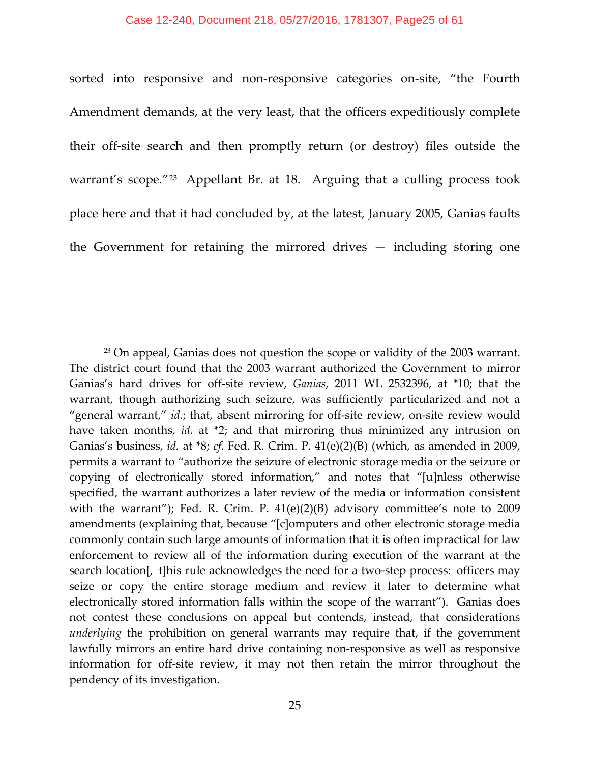sorted into responsive and non-responsive categories on-site, "the Fourth Amendment demands, at the very least, that the officers expeditiously complete their off-site search and then promptly return (or destroy) files outside the warrant's scope."<sup>[23](#page-24-0)</sup> Appellant Br. at 18. Arguing that a culling process took place here and that it had concluded by, at the latest, January 2005, Ganias faults the Government for retaining the mirrored drives — including storing one

<span id="page-24-0"></span><sup>&</sup>lt;sup>23</sup> On appeal, Ganias does not question the scope or validity of the 2003 warrant. The district court found that the 2003 warrant authorized the Government to mirror Ganias's hard drives for off-site review, *Ganias*, 2011 WL 2532396, at \*10; that the warrant, though authorizing such seizure, was sufficiently particularized and not a "general warrant," *id.*; that, absent mirroring for off-site review, on-site review would have taken months, *id.* at \*2; and that mirroring thus minimized any intrusion on Ganias's business, *id.* at \*8; *cf.* Fed. R. Crim. P. 41(e)(2)(B) (which, as amended in 2009, permits a warrant to "authorize the seizure of electronic storage media or the seizure or copying of electronically stored information," and notes that "[u]nless otherwise specified, the warrant authorizes a later review of the media or information consistent with the warrant"); Fed. R. Crim. P. 41(e)(2)(B) advisory committee's note to 2009 amendments (explaining that, because "[c]omputers and other electronic storage media commonly contain such large amounts of information that it is often impractical for law enforcement to review all of the information during execution of the warrant at the search location[, t]his rule acknowledges the need for a two-step process:  officers may seize or copy the entire storage medium and review it later to determine what electronically stored information falls within the scope of the warrant"). Ganias does not contest these conclusions on appeal but contends, instead, that considerations *underlying* the prohibition on general warrants may require that, if the government lawfully mirrors an entire hard drive containing non-responsive as well as responsive information for off-site review, it may not then retain the mirror throughout the pendency of its investigation.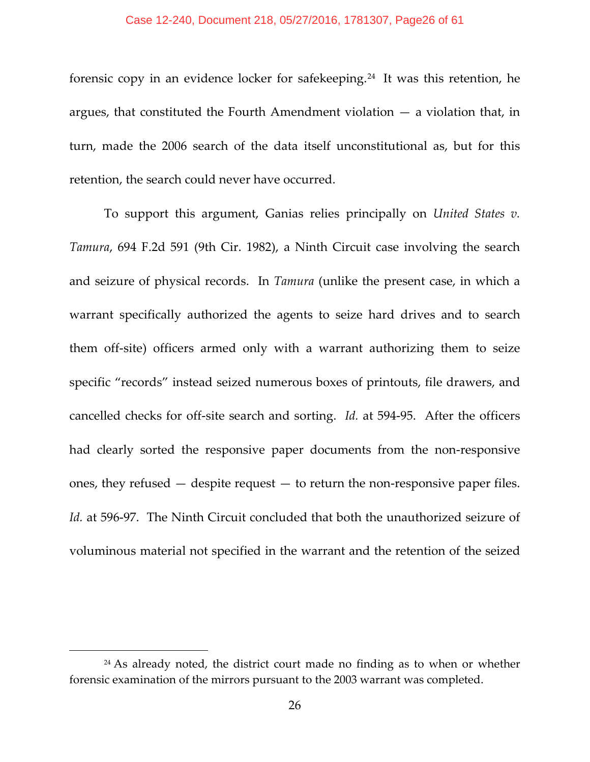#### Case 12-240, Document 218, 05/27/2016, 1781307, Page26 of 61

forensic copy in an evidence locker for safekeeping.[24](#page-25-0) It was this retention, he argues, that constituted the Fourth Amendment violation — a violation that, in turn, made the 2006 search of the data itself unconstitutional as, but for this retention, the search could never have occurred.

To support this argument, Ganias relies principally on *United States v. Tamura*, 694 F.2d 591 (9th Cir. 1982), a Ninth Circuit case involving the search and seizure of physical records. In *Tamura* (unlike the present case, in which a warrant specifically authorized the agents to seize hard drives and to search them off-site) officers armed only with a warrant authorizing them to seize specific "records" instead seized numerous boxes of printouts, file drawers, and cancelled checks for off-site search and sorting. *Id.* at 594-95. After the officers had clearly sorted the responsive paper documents from the non-responsive ones, they refused — despite request — to return the non-responsive paper files. *Id.* at 596-97. The Ninth Circuit concluded that both the unauthorized seizure of voluminous material not specified in the warrant and the retention of the seized

<span id="page-25-0"></span><sup>&</sup>lt;sup>24</sup> As already noted, the district court made no finding as to when or whether forensic examination of the mirrors pursuant to the 2003 warrant was completed.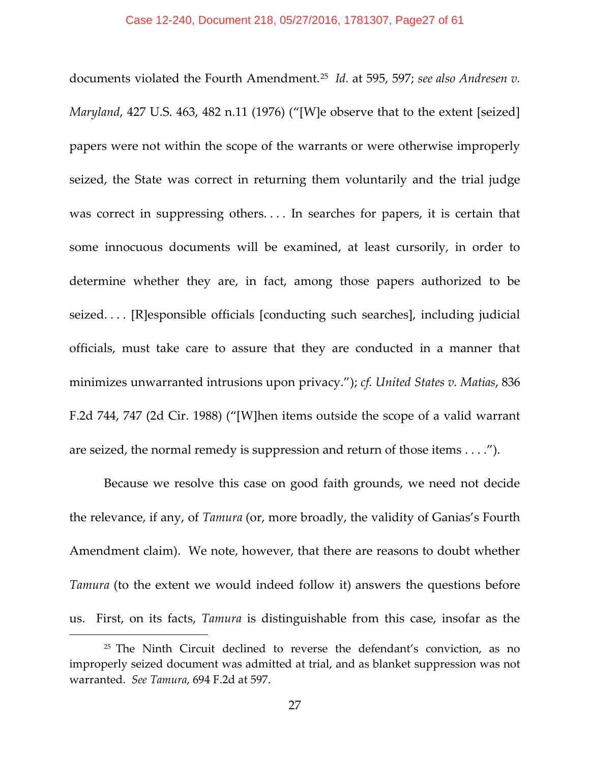documents violated the Fourth Amendment.[25](#page-26-0) *Id.* at 595, 597; *see also Andresen v. Maryland*, 427 U.S. 463, 482 n.11 (1976) ("[W]e observe that to the extent [seized] papers were not within the scope of the warrants or were otherwise improperly seized, the State was correct in returning them voluntarily and the trial judge was correct in suppressing others.... In searches for papers, it is certain that some innocuous documents will be examined, at least cursorily, in order to determine whether they are, in fact, among those papers authorized to be seized. . . . [R]esponsible officials [conducting such searches], including judicial officials, must take care to assure that they are conducted in a manner that minimizes unwarranted intrusions upon privacy."); *cf. United States v. Matias*, 836 F.2d 744, 747 (2d Cir. 1988) ("[W]hen items outside the scope of a valid warrant are seized, the normal remedy is suppression and return of those items . . . .").

Because we resolve this case on good faith grounds, we need not decide the relevance, if any, of *Tamura* (or, more broadly, the validity of Ganias's Fourth Amendment claim). We note, however, that there are reasons to doubt whether *Tamura* (to the extent we would indeed follow it) answers the questions before us. First, on its facts, *Tamura* is distinguishable from this case, insofar as the

<span id="page-26-0"></span><sup>&</sup>lt;sup>25</sup> The Ninth Circuit declined to reverse the defendant's conviction, as no improperly seized document was admitted at trial, and as blanket suppression was not warranted. *See Tamura*, 694 F.2d at 597.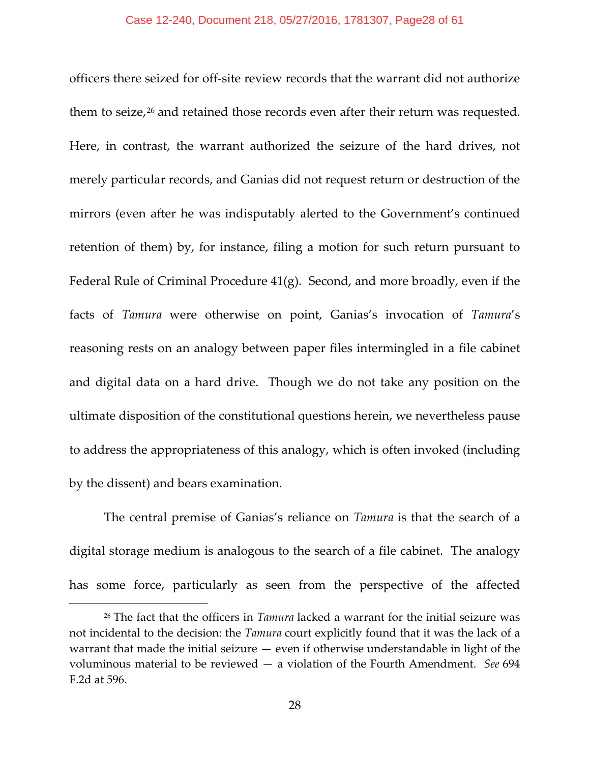officers there seized for off-site review records that the warrant did not authorize them to seize,<sup>[26](#page-27-0)</sup> and retained those records even after their return was requested. Here, in contrast, the warrant authorized the seizure of the hard drives, not merely particular records, and Ganias did not request return or destruction of the mirrors (even after he was indisputably alerted to the Government's continued retention of them) by, for instance, filing a motion for such return pursuant to Federal Rule of Criminal Procedure 41(g). Second, and more broadly, even if the facts of *Tamura* were otherwise on point, Ganias's invocation of *Tamura*'s reasoning rests on an analogy between paper files intermingled in a file cabinet and digital data on a hard drive. Though we do not take any position on the ultimate disposition of the constitutional questions herein, we nevertheless pause to address the appropriateness of this analogy, which is often invoked (including by the dissent) and bears examination.

The central premise of Ganias's reliance on *Tamura* is that the search of a digital storage medium is analogous to the search of a file cabinet. The analogy has some force, particularly as seen from the perspective of the affected

<span id="page-27-0"></span><sup>26</sup> The fact that the officers in *Tamura* lacked a warrant for the initial seizure was not incidental to the decision: the *Tamura* court explicitly found that it was the lack of a warrant that made the initial seizure — even if otherwise understandable in light of the voluminous material to be reviewed — a violation of the Fourth Amendment. *See* 694 F.2d at 596.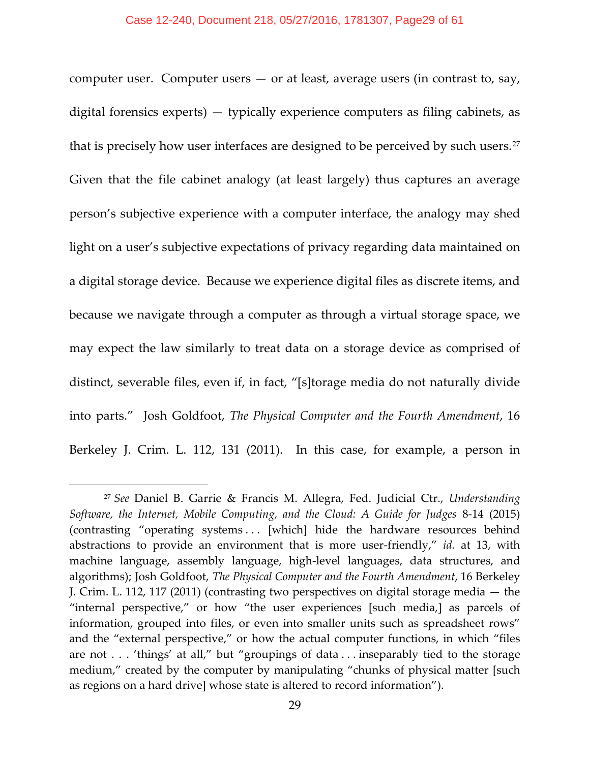computer user. Computer users  $-$  or at least, average users (in contrast to, say, digital forensics experts) — typically experience computers as filing cabinets, as that is precisely how user interfaces are designed to be perceived by such users.<sup>[27](#page-28-0)</sup> Given that the file cabinet analogy (at least largely) thus captures an average person's subjective experience with a computer interface, the analogy may shed light on a user's subjective expectations of privacy regarding data maintained on a digital storage device. Because we experience digital files as discrete items, and because we navigate through a computer as through a virtual storage space, we may expect the law similarly to treat data on a storage device as comprised of distinct, severable files, even if, in fact, "[s]torage media do not naturally divide into parts." Josh Goldfoot, *The Physical Computer and the Fourth Amendment*, 16 Berkeley J. Crim. L. 112, 131 (2011). In this case, for example, a person in

<span id="page-28-0"></span><sup>27</sup> *See* Daniel B. Garrie & Francis M. Allegra, Fed. Judicial Ctr., *Understanding Software, the Internet, Mobile Computing, and the Cloud: A Guide for Judges* 8-14 (2015) (contrasting "operating systems . . . [which] hide the hardware resources behind abstractions to provide an environment that is more user-friendly," *id.* at 13, with machine language, assembly language, high-level languages, data structures, and algorithms); Josh Goldfoot, *The Physical Computer and the Fourth Amendment*, 16 Berkeley J. Crim. L. 112, 117 (2011) (contrasting two perspectives on digital storage media — the "internal perspective," or how "the user experiences [such media,] as parcels of information, grouped into files, or even into smaller units such as spreadsheet rows" and the "external perspective," or how the actual computer functions, in which "files are not . . . 'things' at all," but "groupings of data . . . inseparably tied to the storage medium," created by the computer by manipulating "chunks of physical matter [such as regions on a hard drive] whose state is altered to record information").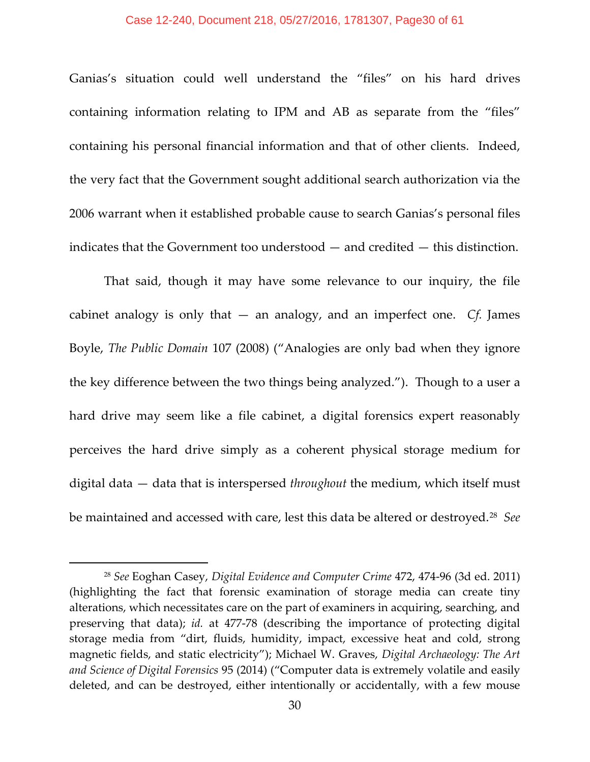#### Case 12-240, Document 218, 05/27/2016, 1781307, Page30 of 61

Ganias's situation could well understand the "files" on his hard drives containing information relating to IPM and AB as separate from the "files" containing his personal financial information and that of other clients. Indeed, the very fact that the Government sought additional search authorization via the 2006 warrant when it established probable cause to search Ganias's personal files indicates that the Government too understood — and credited — this distinction.

That said, though it may have some relevance to our inquiry, the file cabinet analogy is only that — an analogy, and an imperfect one. *Cf.* James Boyle, *The Public Domain* 107 (2008) ("Analogies are only bad when they ignore the key difference between the two things being analyzed."). Though to a user a hard drive may seem like a file cabinet, a digital forensics expert reasonably perceives the hard drive simply as a coherent physical storage medium for digital data — data that is interspersed *throughout* the medium, which itself must be maintained and accessed with care, lest this data be altered or destroyed.[28](#page-29-0) *See* 

<span id="page-29-0"></span><sup>28</sup> *See* Eoghan Casey, *Digital Evidence and Computer Crime* 472, 474-96 (3d ed. 2011) (highlighting the fact that forensic examination of storage media can create tiny alterations, which necessitates care on the part of examiners in acquiring, searching, and preserving that data); *id.* at 477-78 (describing the importance of protecting digital storage media from "dirt, fluids, humidity, impact, excessive heat and cold, strong magnetic fields, and static electricity"); Michael W. Graves, *Digital Archaeology: The Art and Science of Digital Forensics* 95 (2014) ("Computer data is extremely volatile and easily deleted, and can be destroyed, either intentionally or accidentally, with a few mouse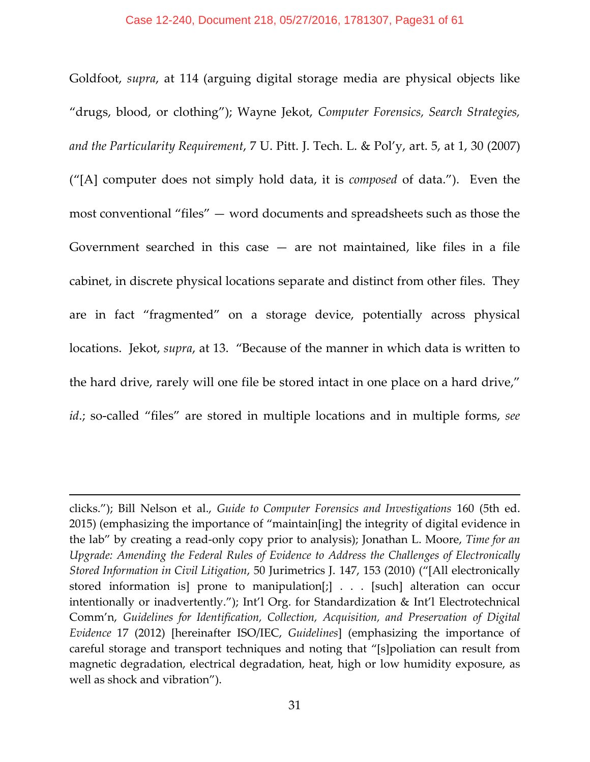Goldfoot, *supra*, at 114 (arguing digital storage media are physical objects like "drugs, blood, or clothing"); Wayne Jekot, *Computer Forensics, Search Strategies, and the Particularity Requirement*, 7 U. Pitt. J. Tech. L. & Pol'y, art. 5, at 1, 30 (2007) ("[A] computer does not simply hold data, it is *composed* of data."). Even the most conventional "files" — word documents and spreadsheets such as those the Government searched in this case  $-$  are not maintained, like files in a file cabinet, in discrete physical locations separate and distinct from other files. They are in fact "fragmented" on a storage device, potentially across physical locations. Jekot, *supra*, at 13. "Because of the manner in which data is written to the hard drive, rarely will one file be stored intact in one place on a hard drive," *id*.; so-called "files" are stored in multiple locations and in multiple forms, *see* 

clicks."); Bill Nelson et al., *Guide to Computer Forensics and Investigations* 160 (5th ed. 2015) (emphasizing the importance of "maintain[ing] the integrity of digital evidence in the lab" by creating a read-only copy prior to analysis); Jonathan L. Moore, *Time for an Upgrade: Amending the Federal Rules of Evidence to Address the Challenges of Electronically Stored Information in Civil Litigation*, 50 Jurimetrics J. 147, 153 (2010) ("[All electronically stored information is] prone to manipulation[;] . . . [such] alteration can occur intentionally or inadvertently."); Int'l Org. for Standardization & Int'l Electrotechnical Comm'n, *Guidelines for Identification, Collection, Acquisition, and Preservation of Digital Evidence* 17 (2012) [hereinafter ISO/IEC, *Guidelines*] (emphasizing the importance of careful storage and transport techniques and noting that "[s]poliation can result from magnetic degradation, electrical degradation, heat, high or low humidity exposure, as well as shock and vibration").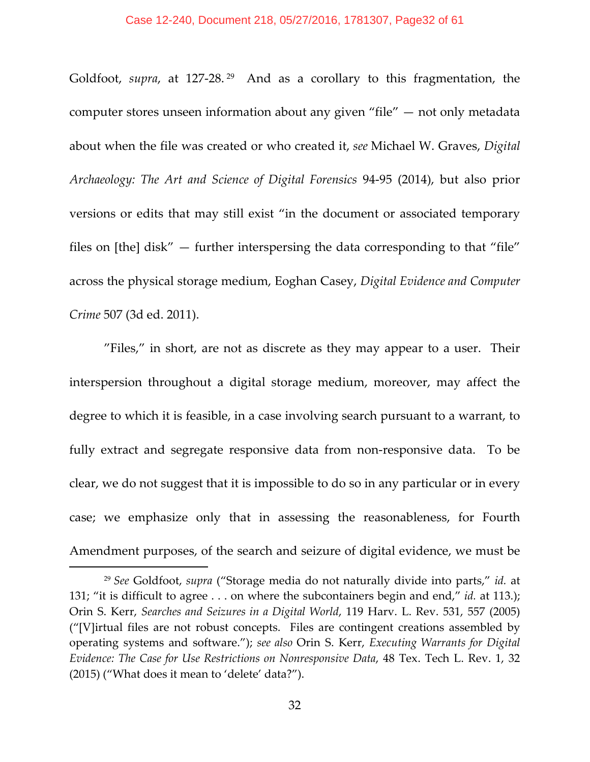Goldfoot, *supra*, at 127-28.<sup>[29](#page-31-0)</sup> And as a corollary to this fragmentation, the computer stores unseen information about any given "file" — not only metadata about when the file was created or who created it, *see* Michael W. Graves, *Digital Archaeology: The Art and Science of Digital Forensics* 94-95 (2014), but also prior versions or edits that may still exist "in the document or associated temporary files on [the] disk" — further interspersing the data corresponding to that "file" across the physical storage medium, Eoghan Casey, *Digital Evidence and Computer Crime* 507 (3d ed. 2011).

"Files," in short, are not as discrete as they may appear to a user. Their interspersion throughout a digital storage medium, moreover, may affect the degree to which it is feasible, in a case involving search pursuant to a warrant, to fully extract and segregate responsive data from non-responsive data. To be clear, we do not suggest that it is impossible to do so in any particular or in every case; we emphasize only that in assessing the reasonableness, for Fourth Amendment purposes, of the search and seizure of digital evidence, we must be

<span id="page-31-0"></span><sup>29</sup> *See* Goldfoot, *supra* ("Storage media do not naturally divide into parts," *id.* at 131; "it is difficult to agree . . . on where the subcontainers begin and end," *id.* at 113.); Orin S. Kerr, *Searches and Seizures in a Digital World*, 119 Harv. L. Rev. 531, 557 (2005) ("[V]irtual files are not robust concepts. Files are contingent creations assembled by operating systems and software."); *see also* Orin S. Kerr, *Executing Warrants for Digital Evidence: The Case for Use Restrictions on Nonresponsive Data*, 48 Tex. Tech L. Rev. 1, 32 (2015) ("What does it mean to 'delete' data?").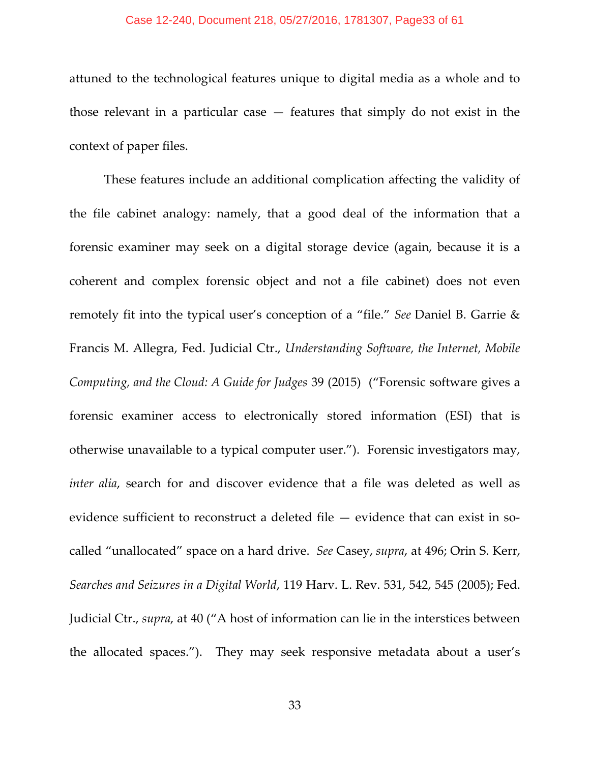#### Case 12-240, Document 218, 05/27/2016, 1781307, Page33 of 61

attuned to the technological features unique to digital media as a whole and to those relevant in a particular case — features that simply do not exist in the context of paper files.

These features include an additional complication affecting the validity of the file cabinet analogy: namely, that a good deal of the information that a forensic examiner may seek on a digital storage device (again, because it is a coherent and complex forensic object and not a file cabinet) does not even remotely fit into the typical user's conception of a "file." *See* Daniel B. Garrie & Francis M. Allegra, Fed. Judicial Ctr., *Understanding Software, the Internet, Mobile Computing, and the Cloud: A Guide for Judges* 39 (2015) ("Forensic software gives a forensic examiner access to electronically stored information (ESI) that is otherwise unavailable to a typical computer user."). Forensic investigators may, *inter alia*, search for and discover evidence that a file was deleted as well as evidence sufficient to reconstruct a deleted file — evidence that can exist in socalled "unallocated" space on a hard drive. *See* Casey, *supra*, at 496; Orin S. Kerr, *Searches and Seizures in a Digital World*, 119 Harv. L. Rev. 531, 542, 545 (2005); Fed. Judicial Ctr., *supra*, at 40 ("A host of information can lie in the interstices between the allocated spaces."). They may seek responsive metadata about a user's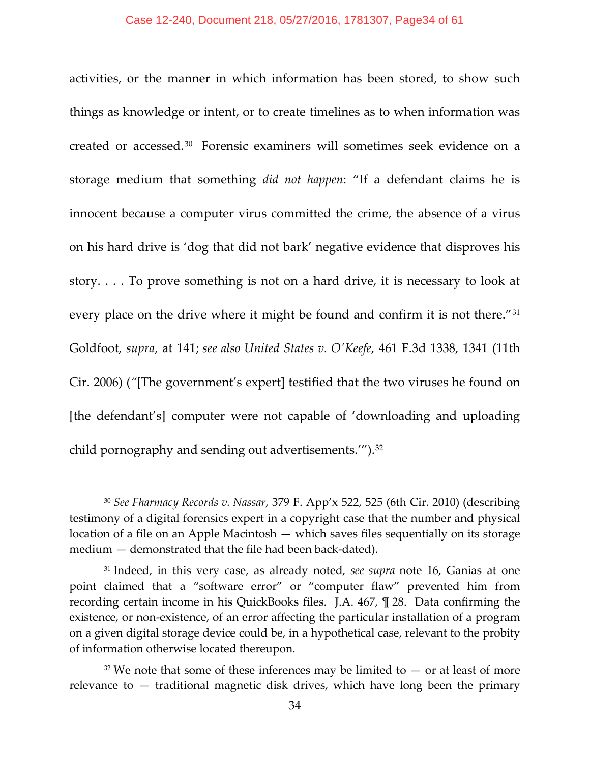activities, or the manner in which information has been stored, to show such things as knowledge or intent, or to create timelines as to when information was created or accessed.[30](#page-33-0) Forensic examiners will sometimes seek evidence on a storage medium that something *did not happen*: "If a defendant claims he is innocent because a computer virus committed the crime, the absence of a virus on his hard drive is 'dog that did not bark' negative evidence that disproves his story. . . . To prove something is not on a hard drive, it is necessary to look at every place on the drive where it might be found and confirm it is not there."<sup>[31](#page-33-1)</sup> Goldfoot, *supra*, at 141; *see also United States v. O'Keefe*, 461 F.3d 1338, 1341 (11th Cir. 2006) (*"*[The government's expert] testified that the two viruses he found on [the defendant's] computer were not capable of 'downloading and uploading child pornography and sending out advertisements."").<sup>[32](#page-33-2)</sup>

<span id="page-33-0"></span><sup>30</sup> *See Fharmacy Records v. Nassar*, 379 F. App'x 522, 525 (6th Cir. 2010) (describing testimony of a digital forensics expert in a copyright case that the number and physical location of a file on an Apple Macintosh — which saves files sequentially on its storage medium — demonstrated that the file had been back-dated).

<span id="page-33-1"></span><sup>31</sup> Indeed, in this very case, as already noted, *see supra* note 16, Ganias at one point claimed that a "software error" or "computer flaw" prevented him from recording certain income in his QuickBooks files. J.A. 467, ¶ 28. Data confirming the existence, or non-existence, of an error affecting the particular installation of a program on a given digital storage device could be, in a hypothetical case, relevant to the probity of information otherwise located thereupon.

<span id="page-33-2"></span> $32$  We note that some of these inferences may be limited to  $-$  or at least of more relevance to — traditional magnetic disk drives, which have long been the primary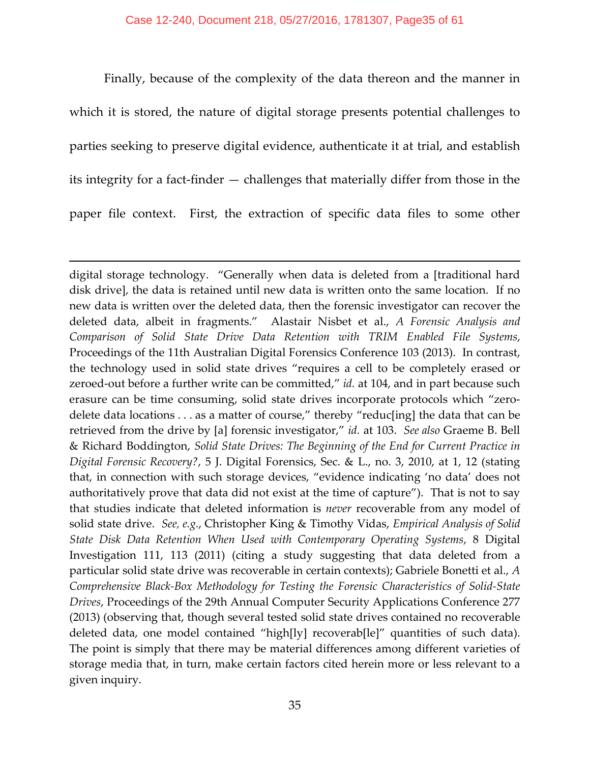Finally, because of the complexity of the data thereon and the manner in which it is stored, the nature of digital storage presents potential challenges to parties seeking to preserve digital evidence, authenticate it at trial, and establish its integrity for a fact-finder — challenges that materially differ from those in the paper file context. First, the extraction of specific data files to some other

l

digital storage technology. "Generally when data is deleted from a [traditional hard disk drive], the data is retained until new data is written onto the same location. If no new data is written over the deleted data, then the forensic investigator can recover the deleted data, albeit in fragments." Alastair Nisbet et al., *A Forensic Analysis and Comparison of Solid State Drive Data Retention with TRIM Enabled File Systems*, Proceedings of the 11th Australian Digital Forensics Conference 103 (2013). In contrast, the technology used in solid state drives "requires a cell to be completely erased or zeroed-out before a further write can be committed," *id.* at 104, and in part because such erasure can be time consuming, solid state drives incorporate protocols which "zerodelete data locations . . . as a matter of course," thereby "reduc[ing] the data that can be retrieved from the drive by [a] forensic investigator," *id.* at 103. *See also* Graeme B. Bell & Richard Boddington, *Solid State Drives: The Beginning of the End for Current Practice in Digital Forensic Recovery?*, 5 J. Digital Forensics, Sec. & L., no. 3, 2010, at 1, 12 (stating that, in connection with such storage devices, "evidence indicating 'no data' does not authoritatively prove that data did not exist at the time of capture"). That is not to say that studies indicate that deleted information is *never* recoverable from any model of solid state drive. *See, e.g.*, Christopher King & Timothy Vidas, *Empirical Analysis of Solid State Disk Data Retention When Used with Contemporary Operating Systems*, 8 Digital Investigation 111, 113 (2011) (citing a study suggesting that data deleted from a particular solid state drive was recoverable in certain contexts); Gabriele Bonetti et al., *A Comprehensive Black-Box Methodology for Testing the Forensic Characteristics of Solid-State Drives*, Proceedings of the 29th Annual Computer Security Applications Conference 277 (2013) (observing that, though several tested solid state drives contained no recoverable deleted data, one model contained "high[ly] recoverab[le]" quantities of such data). The point is simply that there may be material differences among different varieties of storage media that, in turn, make certain factors cited herein more or less relevant to a given inquiry.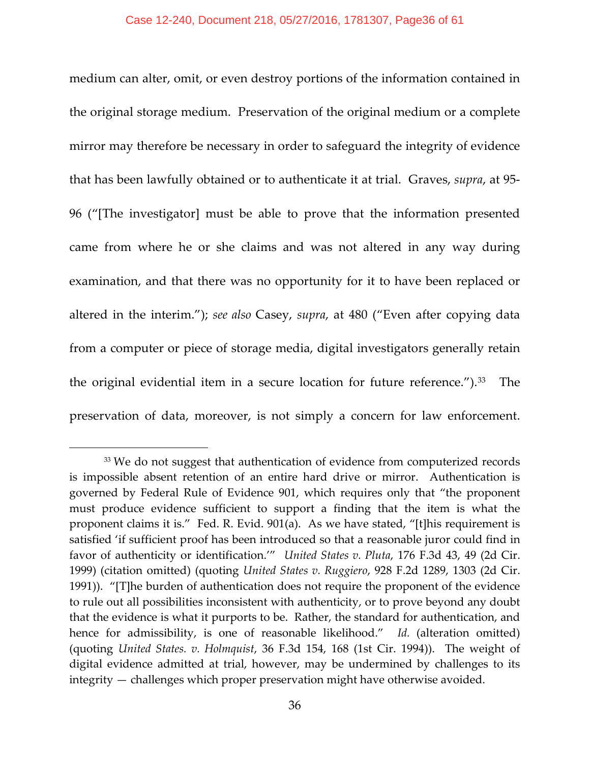medium can alter, omit, or even destroy portions of the information contained in the original storage medium. Preservation of the original medium or a complete mirror may therefore be necessary in order to safeguard the integrity of evidence that has been lawfully obtained or to authenticate it at trial. Graves, *supra*, at 95- 96 ("[The investigator] must be able to prove that the information presented came from where he or she claims and was not altered in any way during examination, and that there was no opportunity for it to have been replaced or altered in the interim."); *see also* Casey, *supra*, at 480 ("Even after copying data from a computer or piece of storage media, digital investigators generally retain the original evidential item in a secure location for future reference.").[33](#page-35-0) The preservation of data, moreover, is not simply a concern for law enforcement.

<span id="page-35-0"></span><sup>&</sup>lt;sup>33</sup> We do not suggest that authentication of evidence from computerized records is impossible absent retention of an entire hard drive or mirror. Authentication is governed by Federal Rule of Evidence 901, which requires only that "the proponent must produce evidence sufficient to support a finding that the item is what the proponent claims it is." Fed. R. Evid. 901(a). As we have stated, "[t]his requirement is satisfied 'if sufficient proof has been introduced so that a reasonable juror could find in favor of authenticity or identification.'" *United States v. Pluta*, 176 F.3d 43, 49 (2d Cir. 1999) (citation omitted) (quoting *United States v. Ruggiero*, 928 F.2d 1289, 1303 (2d Cir. 1991)). "[T]he burden of authentication does not require the proponent of the evidence to rule out all possibilities inconsistent with authenticity, or to prove beyond any doubt that the evidence is what it purports to be. Rather, the standard for authentication, and hence for admissibility, is one of reasonable likelihood." *Id.* (alteration omitted) (quoting *United States. v. Holmquist*, 36 F.3d 154, 168 (1st Cir. 1994)). The weight of digital evidence admitted at trial, however, may be undermined by challenges to its integrity — challenges which proper preservation might have otherwise avoided.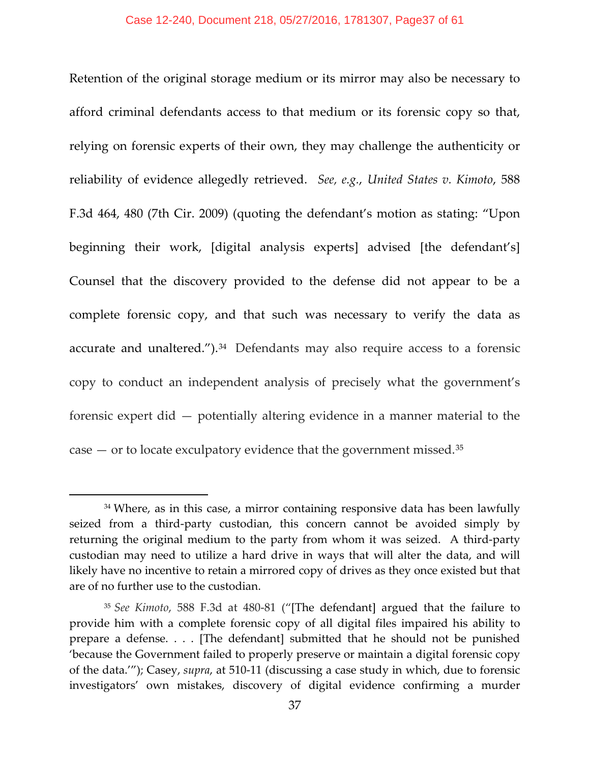Retention of the original storage medium or its mirror may also be necessary to afford criminal defendants access to that medium or its forensic copy so that, relying on forensic experts of their own, they may challenge the authenticity or reliability of evidence allegedly retrieved. *See, e.g.*, *United States v. Kimoto*, 588 F.3d 464, 480 (7th Cir. 2009) (quoting the defendant's motion as stating: "Upon beginning their work, [digital analysis experts] advised [the defendant's] Counsel that the discovery provided to the defense did not appear to be a complete forensic copy, and that such was necessary to verify the data as accurate and unaltered.").<sup>[34](#page-36-0)</sup> Defendants may also require access to a forensic copy to conduct an independent analysis of precisely what the government's forensic expert did — potentially altering evidence in a manner material to the case  $-$  or to locate exculpatory evidence that the government missed.<sup>[35](#page-36-1)</sup>

<span id="page-36-0"></span><sup>&</sup>lt;sup>34</sup> Where, as in this case, a mirror containing responsive data has been lawfully seized from a third-party custodian, this concern cannot be avoided simply by returning the original medium to the party from whom it was seized. A third-party custodian may need to utilize a hard drive in ways that will alter the data, and will likely have no incentive to retain a mirrored copy of drives as they once existed but that are of no further use to the custodian.

<span id="page-36-1"></span><sup>35</sup> *See Kimoto*, 588 F.3d at 480-81 ("[The defendant] argued that the failure to provide him with a complete forensic copy of all digital files impaired his ability to prepare a defense. . . . [The defendant] submitted that he should not be punished 'because the Government failed to properly preserve or maintain a digital forensic copy of the data.'"); Casey, *supra*, at 510-11 (discussing a case study in which, due to forensic investigators' own mistakes, discovery of digital evidence confirming a murder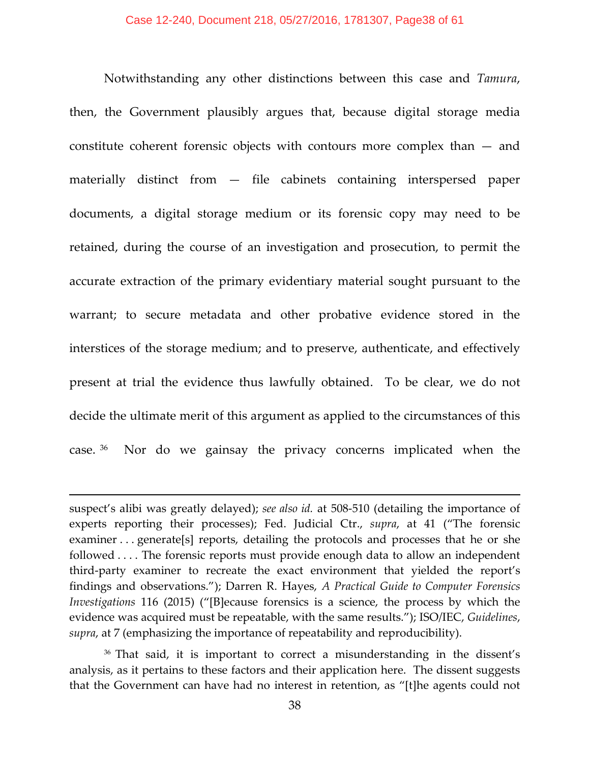Notwithstanding any other distinctions between this case and *Tamura*, then, the Government plausibly argues that, because digital storage media constitute coherent forensic objects with contours more complex than — and materially distinct from — file cabinets containing interspersed paper documents, a digital storage medium or its forensic copy may need to be retained, during the course of an investigation and prosecution, to permit the accurate extraction of the primary evidentiary material sought pursuant to the warrant; to secure metadata and other probative evidence stored in the interstices of the storage medium; and to preserve, authenticate, and effectively present at trial the evidence thus lawfully obtained. To be clear, we do not decide the ultimate merit of this argument as applied to the circumstances of this case. [36](#page-37-0) Nor do we gainsay the privacy concerns implicated when the

suspect's alibi was greatly delayed); *see also id.* at 508-510 (detailing the importance of experts reporting their processes); Fed. Judicial Ctr., *supra*, at 41 ("The forensic examiner . . . generate[s] reports, detailing the protocols and processes that he or she followed . . . . The forensic reports must provide enough data to allow an independent third-party examiner to recreate the exact environment that yielded the report's findings and observations."); Darren R. Hayes, *A Practical Guide to Computer Forensics Investigations* 116 (2015) ("[B]ecause forensics is a science, the process by which the evidence was acquired must be repeatable, with the same results."); ISO/IEC, *Guidelines*, *supra*, at 7 (emphasizing the importance of repeatability and reproducibility).

<span id="page-37-0"></span><sup>36</sup> That said, it is important to correct a misunderstanding in the dissent's analysis, as it pertains to these factors and their application here. The dissent suggests that the Government can have had no interest in retention, as "[t]he agents could not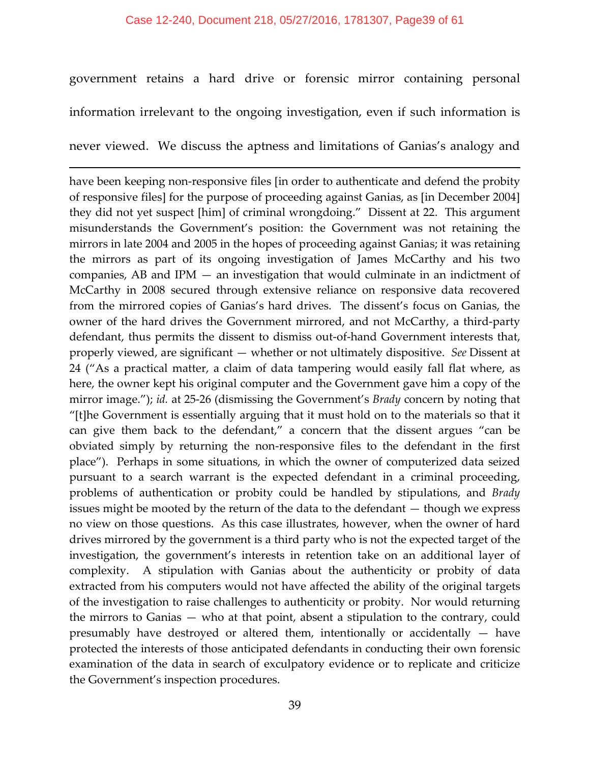government retains a hard drive or forensic mirror containing personal information irrelevant to the ongoing investigation, even if such information is

never viewed. We discuss the aptness and limitations of Ganias's analogy and

l

have been keeping non-responsive files [in order to authenticate and defend the probity of responsive files] for the purpose of proceeding against Ganias, as [in December 2004] they did not yet suspect [him] of criminal wrongdoing." Dissent at 22. This argument misunderstands the Government's position: the Government was not retaining the mirrors in late 2004 and 2005 in the hopes of proceeding against Ganias; it was retaining the mirrors as part of its ongoing investigation of James McCarthy and his two companies, AB and IPM — an investigation that would culminate in an indictment of McCarthy in 2008 secured through extensive reliance on responsive data recovered from the mirrored copies of Ganias's hard drives. The dissent's focus on Ganias, the owner of the hard drives the Government mirrored, and not McCarthy, a third-party defendant, thus permits the dissent to dismiss out-of-hand Government interests that, properly viewed, are significant — whether or not ultimately dispositive. *See* Dissent at 24 ("As a practical matter, a claim of data tampering would easily fall flat where, as here, the owner kept his original computer and the Government gave him a copy of the mirror image."); *id.* at 25-26 (dismissing the Government's *Brady* concern by noting that "[t]he Government is essentially arguing that it must hold on to the materials so that it can give them back to the defendant," a concern that the dissent argues "can be obviated simply by returning the non-responsive files to the defendant in the first place"). Perhaps in some situations, in which the owner of computerized data seized pursuant to a search warrant is the expected defendant in a criminal proceeding, problems of authentication or probity could be handled by stipulations, and *Brady* issues might be mooted by the return of the data to the defendant — though we express no view on those questions. As this case illustrates, however, when the owner of hard drives mirrored by the government is a third party who is not the expected target of the investigation, the government's interests in retention take on an additional layer of complexity. A stipulation with Ganias about the authenticity or probity of data extracted from his computers would not have affected the ability of the original targets of the investigation to raise challenges to authenticity or probity. Nor would returning the mirrors to Ganias — who at that point, absent a stipulation to the contrary, could presumably have destroyed or altered them, intentionally or accidentally — have protected the interests of those anticipated defendants in conducting their own forensic examination of the data in search of exculpatory evidence or to replicate and criticize the Government's inspection procedures.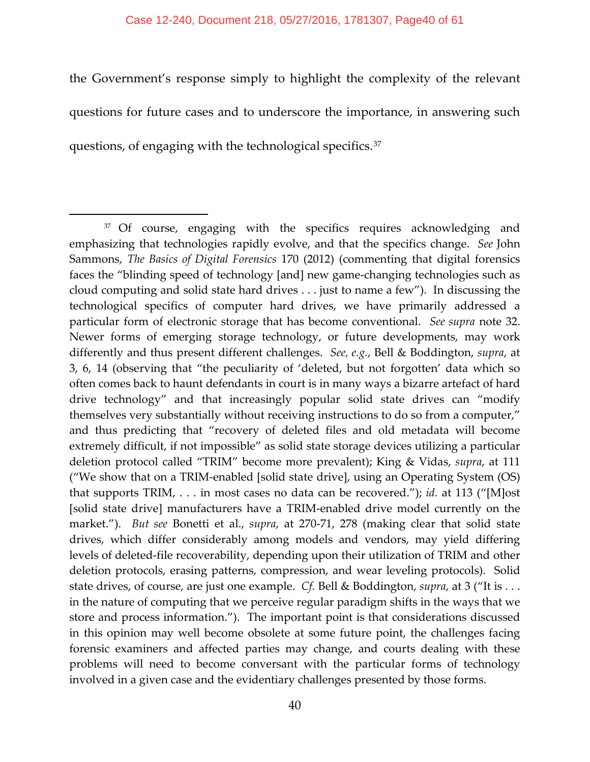#### Case 12-240, Document 218, 05/27/2016, 1781307, Page40 of 61

the Government's response simply to highlight the complexity of the relevant questions for future cases and to underscore the importance, in answering such questions, of engaging with the technological specifics.[37](#page-39-0)

<span id="page-39-0"></span><sup>&</sup>lt;sup>37</sup> Of course, engaging with the specifics requires acknowledging and emphasizing that technologies rapidly evolve, and that the specifics change. *See* John Sammons, *The Basics of Digital Forensics* 170 (2012) (commenting that digital forensics faces the "blinding speed of technology [and] new game-changing technologies such as cloud computing and solid state hard drives . . . just to name a few"). In discussing the technological specifics of computer hard drives, we have primarily addressed a particular form of electronic storage that has become conventional. *See supra* note 32. Newer forms of emerging storage technology, or future developments, may work differently and thus present different challenges. *See, e.g.*, Bell & Boddington, *supra*, at 3, 6, 14 (observing that "the peculiarity of 'deleted, but not forgotten' data which so often comes back to haunt defendants in court is in many ways a bizarre artefact of hard drive technology" and that increasingly popular solid state drives can "modify themselves very substantially without receiving instructions to do so from a computer," and thus predicting that "recovery of deleted files and old metadata will become extremely difficult, if not impossible" as solid state storage devices utilizing a particular deletion protocol called "TRIM" become more prevalent); King & Vidas, *supra*, at 111 ("We show that on a TRIM-enabled [solid state drive], using an Operating System (OS) that supports TRIM, . . . in most cases no data can be recovered."); *id.* at 113 ("[M]ost [solid state drive] manufacturers have a TRIM-enabled drive model currently on the market."). *But see* Bonetti et al., *supra*, at 270-71, 278 (making clear that solid state drives, which differ considerably among models and vendors, may yield differing levels of deleted-file recoverability, depending upon their utilization of TRIM and other deletion protocols, erasing patterns, compression, and wear leveling protocols). Solid state drives, of course, are just one example. *Cf.* Bell & Boddington, *supra*, at 3 ("It is . . . in the nature of computing that we perceive regular paradigm shifts in the ways that we store and process information."). The important point is that considerations discussed in this opinion may well become obsolete at some future point, the challenges facing forensic examiners and affected parties may change, and courts dealing with these problems will need to become conversant with the particular forms of technology involved in a given case and the evidentiary challenges presented by those forms.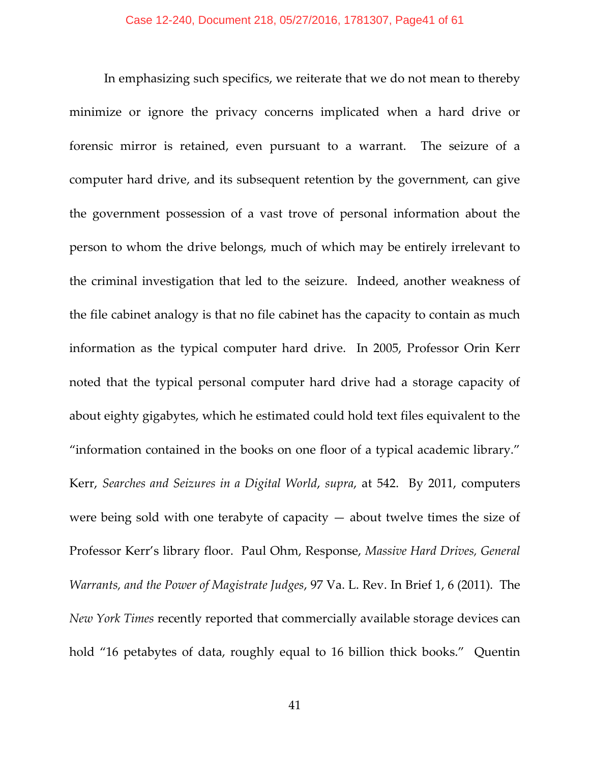In emphasizing such specifics, we reiterate that we do not mean to thereby minimize or ignore the privacy concerns implicated when a hard drive or forensic mirror is retained, even pursuant to a warrant. The seizure of a computer hard drive, and its subsequent retention by the government, can give the government possession of a vast trove of personal information about the person to whom the drive belongs, much of which may be entirely irrelevant to the criminal investigation that led to the seizure. Indeed, another weakness of the file cabinet analogy is that no file cabinet has the capacity to contain as much information as the typical computer hard drive. In 2005, Professor Orin Kerr noted that the typical personal computer hard drive had a storage capacity of about eighty gigabytes, which he estimated could hold text files equivalent to the "information contained in the books on one floor of a typical academic library." Kerr, *Searches and Seizures in a Digital World*, *supra*, at 542. By 2011, computers were being sold with one terabyte of capacity  $-$  about twelve times the size of Professor Kerr's library floor. Paul Ohm, Response, *Massive Hard Drives, General Warrants, and the Power of Magistrate Judges*, 97 Va. L. Rev. In Brief 1, 6 (2011). The *New York Times* recently reported that commercially available storage devices can hold "16 petabytes of data, roughly equal to 16 billion thick books." Quentin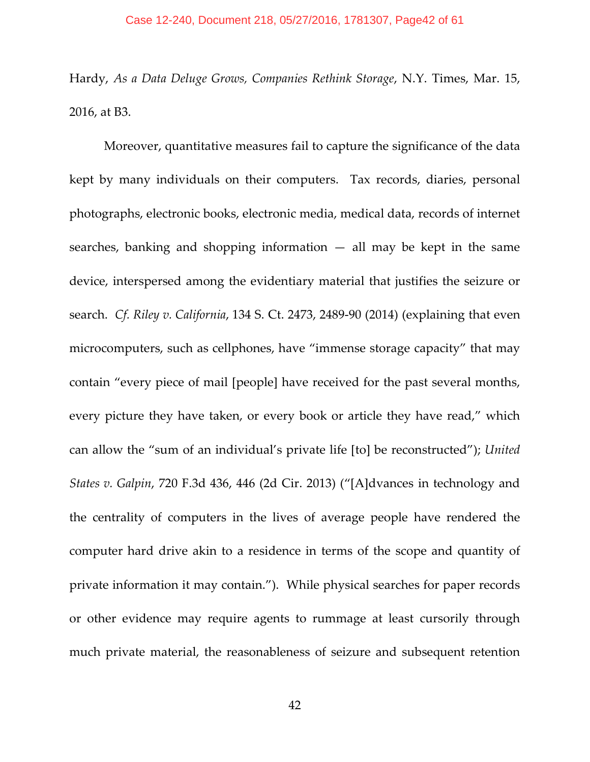Hardy, *As a Data Deluge Grows, Companies Rethink Storage*, N.Y. Times, Mar. 15, 2016, at B3.

Moreover, quantitative measures fail to capture the significance of the data kept by many individuals on their computers. Tax records, diaries, personal photographs, electronic books, electronic media, medical data, records of internet searches, banking and shopping information  $-$  all may be kept in the same device, interspersed among the evidentiary material that justifies the seizure or search. *Cf. Riley v. California*, 134 S. Ct. 2473, 2489-90 (2014) (explaining that even microcomputers, such as cellphones, have "immense storage capacity" that may contain "every piece of mail [people] have received for the past several months, every picture they have taken, or every book or article they have read," which can allow the "sum of an individual's private life [to] be reconstructed"); *United States v. Galpin*, 720 F.3d 436, 446 (2d Cir. 2013) ("[A]dvances in technology and the centrality of computers in the lives of average people have rendered the computer hard drive akin to a residence in terms of the scope and quantity of private information it may contain."). While physical searches for paper records or other evidence may require agents to rummage at least cursorily through much private material, the reasonableness of seizure and subsequent retention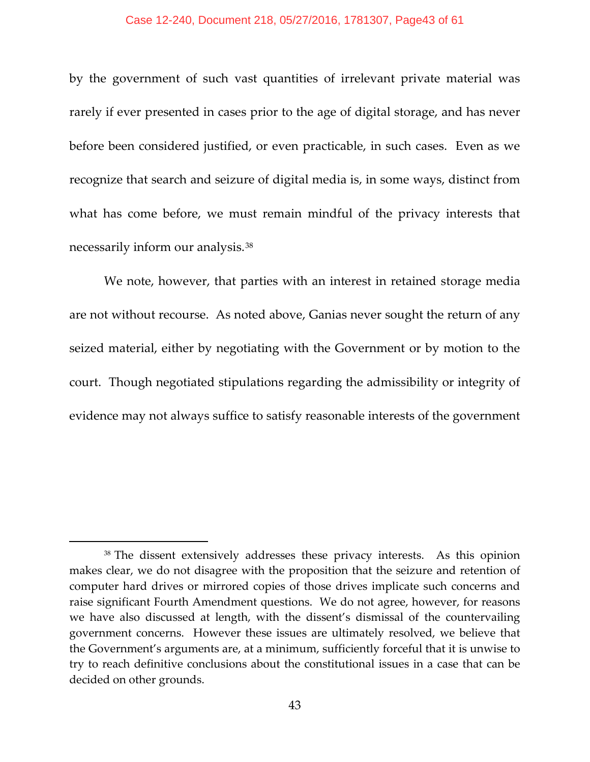#### Case 12-240, Document 218, 05/27/2016, 1781307, Page43 of 61

by the government of such vast quantities of irrelevant private material was rarely if ever presented in cases prior to the age of digital storage, and has never before been considered justified, or even practicable, in such cases. Even as we recognize that search and seizure of digital media is, in some ways, distinct from what has come before, we must remain mindful of the privacy interests that necessarily inform our analysis.[38](#page-42-0)

We note, however, that parties with an interest in retained storage media are not without recourse. As noted above, Ganias never sought the return of any seized material, either by negotiating with the Government or by motion to the court. Though negotiated stipulations regarding the admissibility or integrity of evidence may not always suffice to satisfy reasonable interests of the government

<span id="page-42-0"></span><sup>38</sup> The dissent extensively addresses these privacy interests. As this opinion makes clear, we do not disagree with the proposition that the seizure and retention of computer hard drives or mirrored copies of those drives implicate such concerns and raise significant Fourth Amendment questions. We do not agree, however, for reasons we have also discussed at length, with the dissent's dismissal of the countervailing government concerns. However these issues are ultimately resolved, we believe that the Government's arguments are, at a minimum, sufficiently forceful that it is unwise to try to reach definitive conclusions about the constitutional issues in a case that can be decided on other grounds.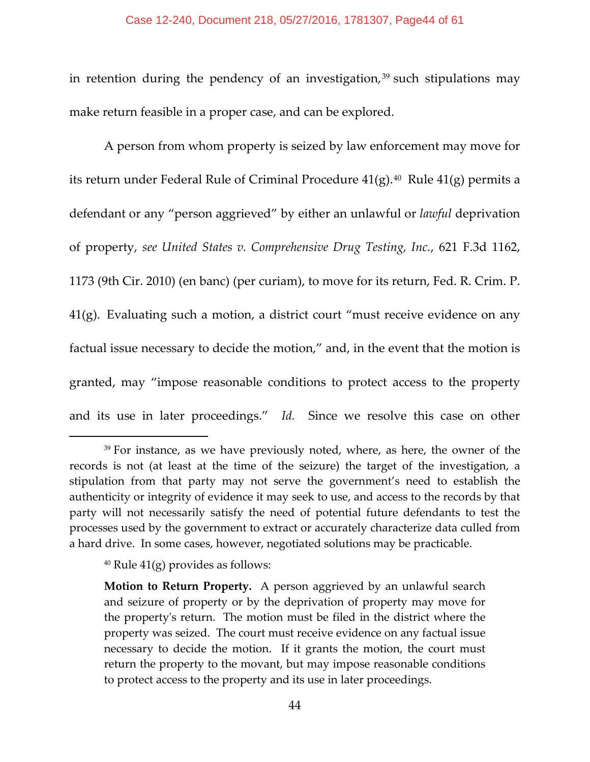#### Case 12-240, Document 218, 05/27/2016, 1781307, Page44 of 61

in retention during the pendency of an investigation,  $39$  such stipulations may make return feasible in a proper case, and can be explored.

A person from whom property is seized by law enforcement may move for its return under Federal Rule of Criminal Procedure  $41(g)$ .<sup>40</sup> Rule  $41(g)$  permits a defendant or any "person aggrieved" by either an unlawful or *lawful* deprivation of property, *see United States v. Comprehensive Drug Testing, Inc.*, 621 F.3d 1162, 1173 (9th Cir. 2010) (en banc) (per curiam), to move for its return, Fed. R. Crim. P. 41(g). Evaluating such a motion, a district court "must receive evidence on any factual issue necessary to decide the motion," and, in the event that the motion is granted, may "impose reasonable conditions to protect access to the property and its use in later proceedings." *Id.* Since we resolve this case on other

<span id="page-43-0"></span><sup>&</sup>lt;sup>39</sup> For instance, as we have previously noted, where, as here, the owner of the records is not (at least at the time of the seizure) the target of the investigation, a stipulation from that party may not serve the government's need to establish the authenticity or integrity of evidence it may seek to use, and access to the records by that party will not necessarily satisfy the need of potential future defendants to test the processes used by the government to extract or accurately characterize data culled from a hard drive. In some cases, however, negotiated solutions may be practicable.

<span id="page-43-1"></span><sup>&</sup>lt;sup>40</sup> Rule  $41(g)$  provides as follows:

**Motion to Return Property.** A person aggrieved by an unlawful search and seizure of property or by the deprivation of property may move for the property's return. The motion must be filed in the district where the property was seized. The court must receive evidence on any factual issue necessary to decide the motion. If it grants the motion, the court must return the property to the movant, but may impose reasonable conditions to protect access to the property and its use in later proceedings.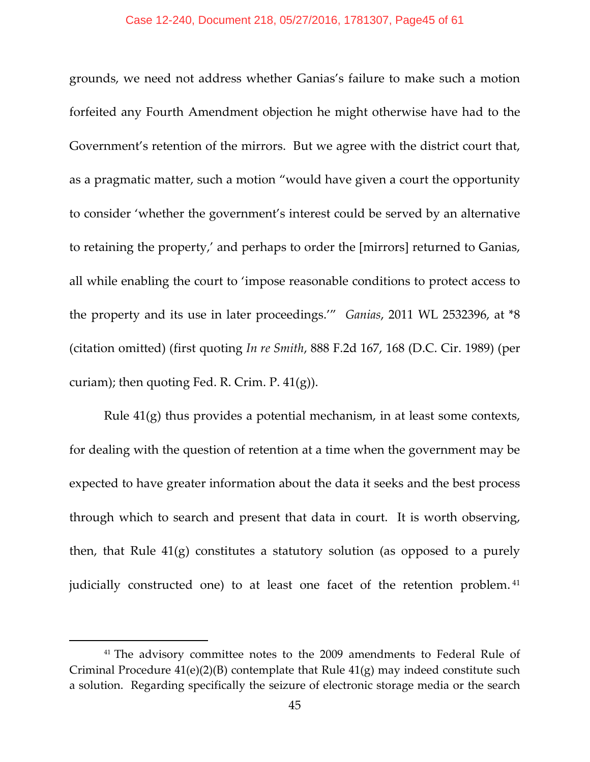grounds, we need not address whether Ganias's failure to make such a motion forfeited any Fourth Amendment objection he might otherwise have had to the Government's retention of the mirrors. But we agree with the district court that, as a pragmatic matter, such a motion "would have given a court the opportunity to consider 'whether the government's interest could be served by an alternative to retaining the property,' and perhaps to order the [mirrors] returned to Ganias, all while enabling the court to 'impose reasonable conditions to protect access to the property and its use in later proceedings.'" *Ganias*, 2011 WL 2532396, at \*8 (citation omitted) (first quoting *In re Smith*, 888 F.2d 167, 168 (D.C. Cir. 1989) (per curiam); then quoting Fed. R. Crim. P. 41(g)).

Rule 41(g) thus provides a potential mechanism, in at least some contexts, for dealing with the question of retention at a time when the government may be expected to have greater information about the data it seeks and the best process through which to search and present that data in court. It is worth observing, then, that Rule 41(g) constitutes a statutory solution (as opposed to a purely judicially constructed one) to at least one facet of the retention problem. [41](#page-44-0)

<span id="page-44-0"></span><sup>&</sup>lt;sup>41</sup> The advisory committee notes to the 2009 amendments to Federal Rule of Criminal Procedure  $41(e)(2)(B)$  contemplate that Rule  $41(g)$  may indeed constitute such a solution. Regarding specifically the seizure of electronic storage media or the search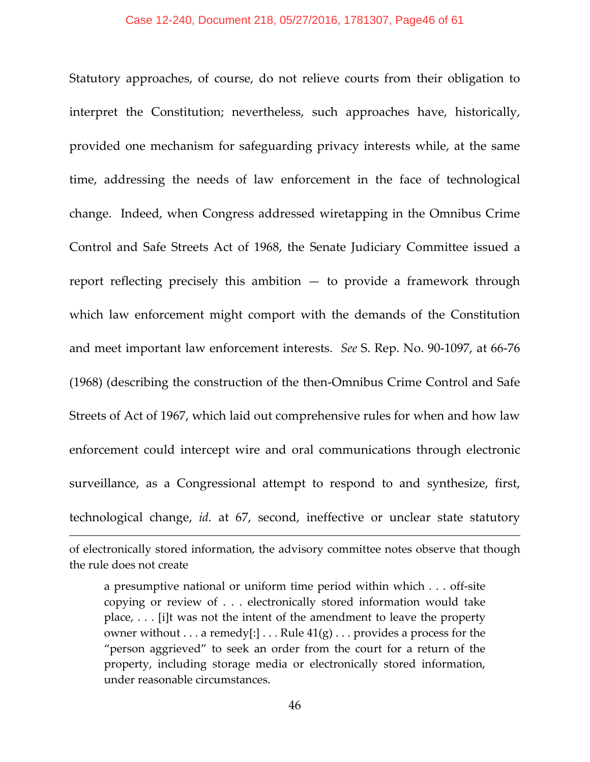Statutory approaches, of course, do not relieve courts from their obligation to interpret the Constitution; nevertheless, such approaches have, historically, provided one mechanism for safeguarding privacy interests while, at the same time, addressing the needs of law enforcement in the face of technological change. Indeed, when Congress addressed wiretapping in the Omnibus Crime Control and Safe Streets Act of 1968, the Senate Judiciary Committee issued a report reflecting precisely this ambition  $-$  to provide a framework through which law enforcement might comport with the demands of the Constitution and meet important law enforcement interests. *See* S. Rep. No. 90-1097, at 66-76 (1968) (describing the construction of the then-Omnibus Crime Control and Safe Streets of Act of 1967, which laid out comprehensive rules for when and how law enforcement could intercept wire and oral communications through electronic surveillance, as a Congressional attempt to respond to and synthesize, first, technological change, *id.* at 67, second, ineffective or unclear state statutory

of electronically stored information, the advisory committee notes observe that though the rule does not create

a presumptive national or uniform time period within which . . . off-site copying or review of . . . electronically stored information would take place, . . . [i]t was not the intent of the amendment to leave the property owner without  $\dots$  a remedy[:]  $\dots$  Rule  $41(g) \dots$  provides a process for the "person aggrieved" to seek an order from the court for a return of the property, including storage media or electronically stored information, under reasonable circumstances.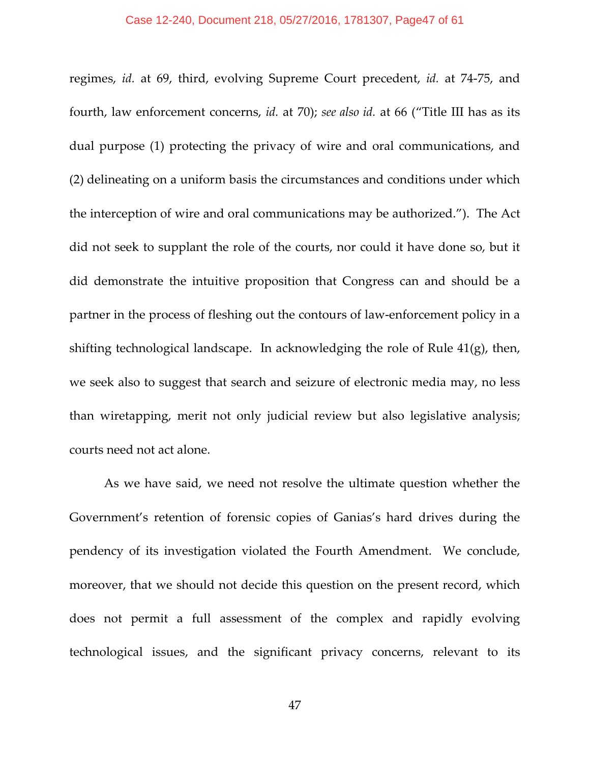regimes, *id.* at 69, third, evolving Supreme Court precedent, *id.* at 74-75, and fourth, law enforcement concerns, *id.* at 70); *see also id.* at 66 ("Title III has as its dual purpose (1) protecting the privacy of wire and oral communications, and (2) delineating on a uniform basis the circumstances and conditions under which the interception of wire and oral communications may be authorized."). The Act did not seek to supplant the role of the courts, nor could it have done so, but it did demonstrate the intuitive proposition that Congress can and should be a partner in the process of fleshing out the contours of law-enforcement policy in a shifting technological landscape. In acknowledging the role of Rule 41(g), then, we seek also to suggest that search and seizure of electronic media may, no less than wiretapping, merit not only judicial review but also legislative analysis; courts need not act alone.

As we have said, we need not resolve the ultimate question whether the Government's retention of forensic copies of Ganias's hard drives during the pendency of its investigation violated the Fourth Amendment. We conclude, moreover, that we should not decide this question on the present record, which does not permit a full assessment of the complex and rapidly evolving technological issues, and the significant privacy concerns, relevant to its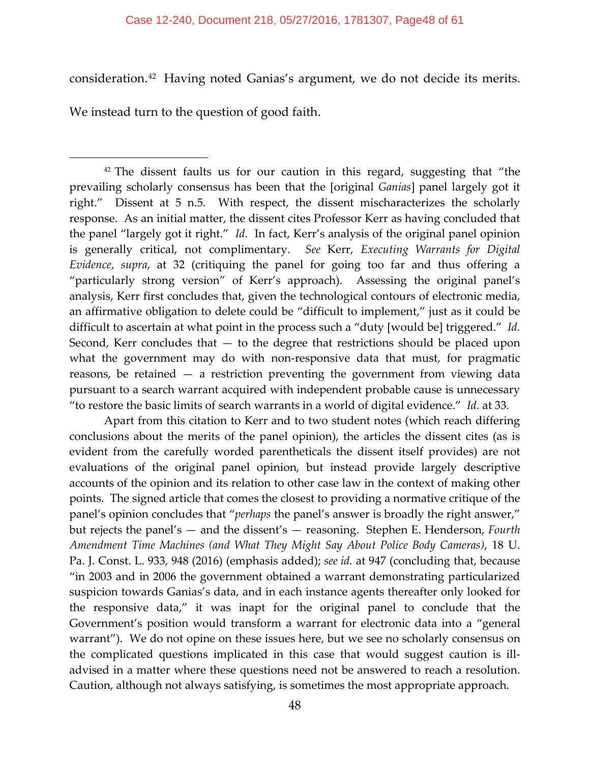#### Case 12-240, Document 218, 05/27/2016, 1781307, Page48 of 61

consideration.[42](#page-47-0) Having noted Ganias's argument, we do not decide its merits.

We instead turn to the question of good faith.

 $\overline{\phantom{a}}$ 

<span id="page-47-0"></span> $42$  The dissent faults us for our caution in this regard, suggesting that "the prevailing scholarly consensus has been that the [original *Ganias*] panel largely got it right." Dissent at 5 n.5. With respect, the dissent mischaracterizes the scholarly response. As an initial matter, the dissent cites Professor Kerr as having concluded that the panel "largely got it right." *Id.* In fact, Kerr's analysis of the original panel opinion is generally critical, not complimentary. *See* Kerr, *Executing Warrants for Digital Evidence*, *supra*, at 32 (critiquing the panel for going too far and thus offering a "particularly strong version" of Kerr's approach). Assessing the original panel's analysis, Kerr first concludes that, given the technological contours of electronic media, an affirmative obligation to delete could be "difficult to implement," just as it could be difficult to ascertain at what point in the process such a "duty [would be] triggered." *Id.* Second, Kerr concludes that — to the degree that restrictions should be placed upon what the government may do with non-responsive data that must, for pragmatic reasons, be retained — a restriction preventing the government from viewing data pursuant to a search warrant acquired with independent probable cause is unnecessary "to restore the basic limits of search warrants in a world of digital evidence." *Id.* at 33.

Apart from this citation to Kerr and to two student notes (which reach differing conclusions about the merits of the panel opinion), the articles the dissent cites (as is evident from the carefully worded parentheticals the dissent itself provides) are not evaluations of the original panel opinion, but instead provide largely descriptive accounts of the opinion and its relation to other case law in the context of making other points. The signed article that comes the closest to providing a normative critique of the panel's opinion concludes that "*perhaps* the panel's answer is broadly the right answer," but rejects the panel's — and the dissent's — reasoning. Stephen E. Henderson, *Fourth Amendment Time Machines (and What They Might Say About Police Body Cameras)*, 18 U. Pa. J. Const. L. 933, 948 (2016) (emphasis added); *see id.* at 947 (concluding that, because "in 2003 and in 2006 the government obtained a warrant demonstrating particularized suspicion towards Ganias's data, and in each instance agents thereafter only looked for the responsive data," it was inapt for the original panel to conclude that the Government's position would transform a warrant for electronic data into a "general warrant"). We do not opine on these issues here, but we see no scholarly consensus on the complicated questions implicated in this case that would suggest caution is illadvised in a matter where these questions need not be answered to reach a resolution. Caution, although not always satisfying, is sometimes the most appropriate approach.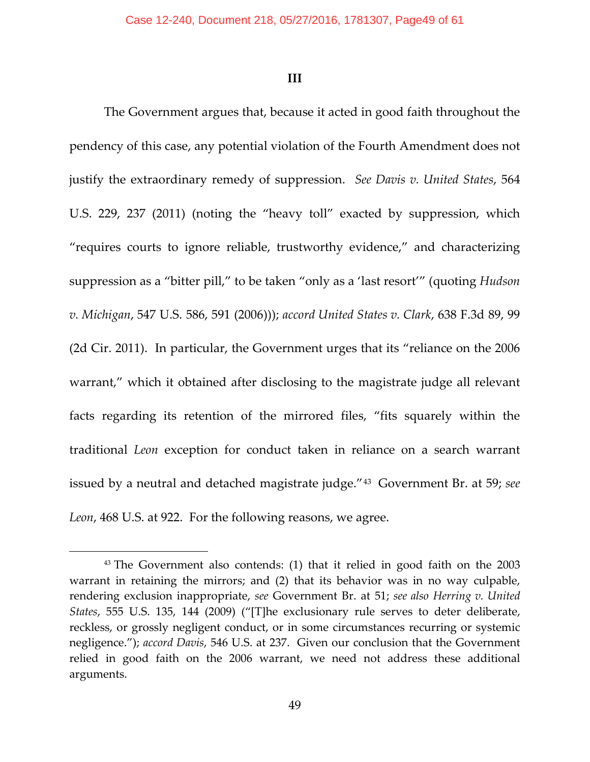**III**

The Government argues that, because it acted in good faith throughout the pendency of this case, any potential violation of the Fourth Amendment does not justify the extraordinary remedy of suppression. *See Davis v. United States*, 564 U.S. 229, 237 (2011) (noting the "heavy toll" exacted by suppression, which "requires courts to ignore reliable, trustworthy evidence," and characterizing suppression as a "bitter pill," to be taken "only as a 'last resort'" (quoting *Hudson v. Michigan*, 547 U.S. 586, 591 (2006))); *accord United States v. Clark*, 638 F.3d 89, 99 (2d Cir. 2011). In particular, the Government urges that its "reliance on the 2006 warrant," which it obtained after disclosing to the magistrate judge all relevant facts regarding its retention of the mirrored files, "fits squarely within the traditional *Leon* exception for conduct taken in reliance on a search warrant issued by a neutral and detached magistrate judge."[43](#page-48-0) Government Br. at 59; *see Leon*, 468 U.S. at 922. For the following reasons, we agree.

<span id="page-48-0"></span><sup>43</sup> The Government also contends: (1) that it relied in good faith on the 2003 warrant in retaining the mirrors; and (2) that its behavior was in no way culpable, rendering exclusion inappropriate, *see* Government Br. at 51; *see also Herring v. United States*, 555 U.S. 135, 144 (2009) ("[T]he exclusionary rule serves to deter deliberate, reckless, or grossly negligent conduct, or in some circumstances recurring or systemic negligence."); *accord Davis*, 546 U.S. at 237. Given our conclusion that the Government relied in good faith on the 2006 warrant, we need not address these additional arguments.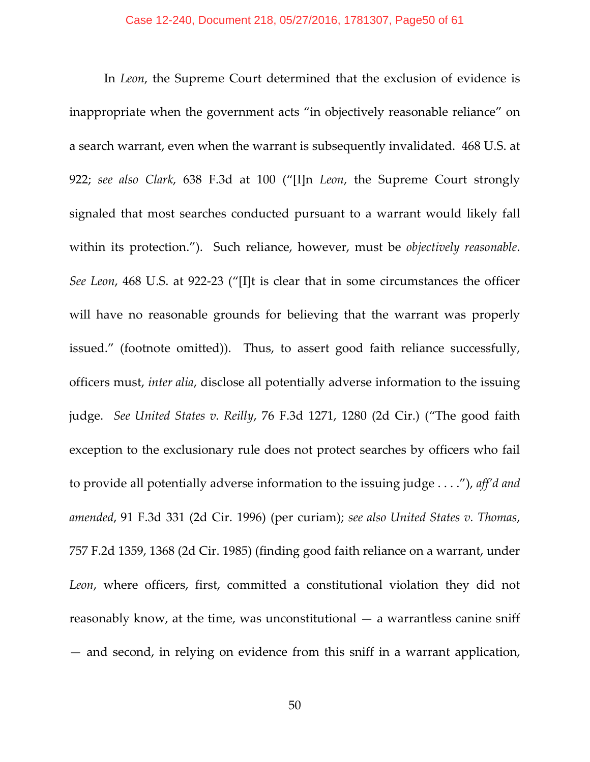In *Leon*, the Supreme Court determined that the exclusion of evidence is inappropriate when the government acts "in objectively reasonable reliance" on a search warrant, even when the warrant is subsequently invalidated. 468 U.S. at 922; *see also Clark*, 638 F.3d at 100 ("[I]n *Leon*, the Supreme Court strongly signaled that most searches conducted pursuant to a warrant would likely fall within its protection."). Such reliance, however, must be *objectively reasonable*. *See Leon*, 468 U.S. at 922-23 ("[I]t is clear that in some circumstances the officer will have no reasonable grounds for believing that the warrant was properly issued." (footnote omitted)). Thus, to assert good faith reliance successfully, officers must, *inter alia*, disclose all potentially adverse information to the issuing judge. *See United States v. Reilly*, 76 F.3d 1271, 1280 (2d Cir.) ("The good faith exception to the exclusionary rule does not protect searches by officers who fail to provide all potentially adverse information to the issuing judge . . . ."), *aff'd and amended*, 91 F.3d 331 (2d Cir. 1996) (per curiam); *see also United States v. Thomas*, 757 F.2d 1359, 1368 (2d Cir. 1985) (finding good faith reliance on a warrant, under *Leon*, where officers, first, committed a constitutional violation they did not reasonably know, at the time, was unconstitutional — a warrantless canine sniff — and second, in relying on evidence from this sniff in a warrant application,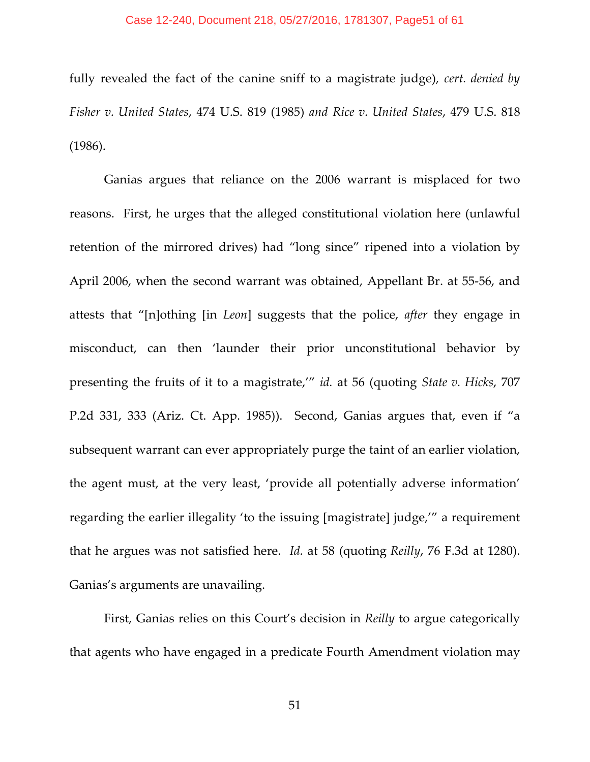#### Case 12-240, Document 218, 05/27/2016, 1781307, Page51 of 61

fully revealed the fact of the canine sniff to a magistrate judge), *cert. denied by Fisher v. United States*, 474 U.S. 819 (1985) *and Rice v. United States*, 479 U.S. 818 (1986).

Ganias argues that reliance on the 2006 warrant is misplaced for two reasons. First, he urges that the alleged constitutional violation here (unlawful retention of the mirrored drives) had "long since" ripened into a violation by April 2006, when the second warrant was obtained, Appellant Br. at 55-56, and attests that "[n]othing [in *Leon*] suggests that the police, *after* they engage in misconduct, can then 'launder their prior unconstitutional behavior by presenting the fruits of it to a magistrate,'" *id.* at 56 (quoting *State v. Hicks*, 707 P.2d 331, 333 (Ariz. Ct. App. 1985)). Second, Ganias argues that, even if "a subsequent warrant can ever appropriately purge the taint of an earlier violation, the agent must, at the very least, 'provide all potentially adverse information' regarding the earlier illegality 'to the issuing [magistrate] judge,'" a requirement that he argues was not satisfied here. *Id.* at 58 (quoting *Reilly*, 76 F.3d at 1280). Ganias's arguments are unavailing.

First, Ganias relies on this Court's decision in *Reilly* to argue categorically that agents who have engaged in a predicate Fourth Amendment violation may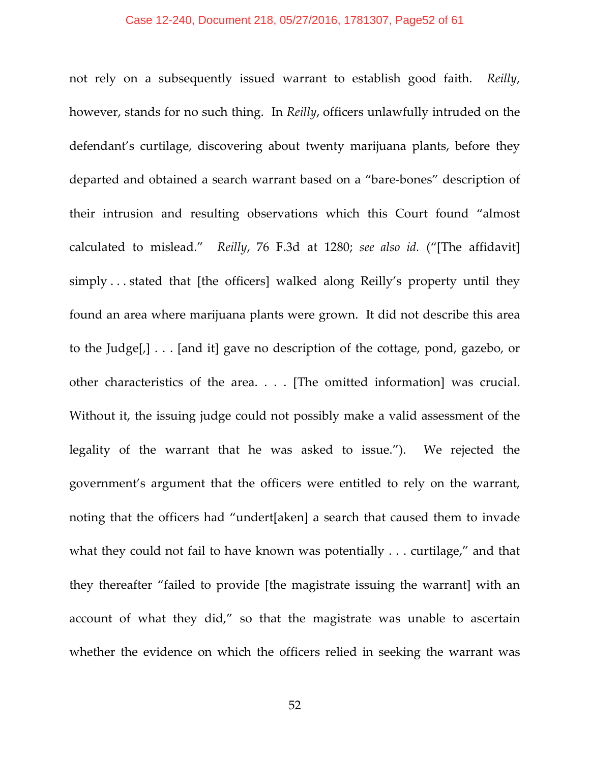#### Case 12-240, Document 218, 05/27/2016, 1781307, Page52 of 61

not rely on a subsequently issued warrant to establish good faith. *Reilly*, however, stands for no such thing. In *Reilly*, officers unlawfully intruded on the defendant's curtilage, discovering about twenty marijuana plants, before they departed and obtained a search warrant based on a "bare-bones" description of their intrusion and resulting observations which this Court found "almost calculated to mislead." *Reilly*, 76 F.3d at 1280; *see also id.* ("[The affidavit] simply . . . stated that [the officers] walked along Reilly's property until they found an area where marijuana plants were grown. It did not describe this area to the Judge[,] . . . [and it] gave no description of the cottage, pond, gazebo, or other characteristics of the area. . . . [The omitted information] was crucial. Without it, the issuing judge could not possibly make a valid assessment of the legality of the warrant that he was asked to issue."). We rejected the government's argument that the officers were entitled to rely on the warrant, noting that the officers had "undert[aken] a search that caused them to invade what they could not fail to have known was potentially . . . curtilage," and that they thereafter "failed to provide [the magistrate issuing the warrant] with an account of what they did," so that the magistrate was unable to ascertain whether the evidence on which the officers relied in seeking the warrant was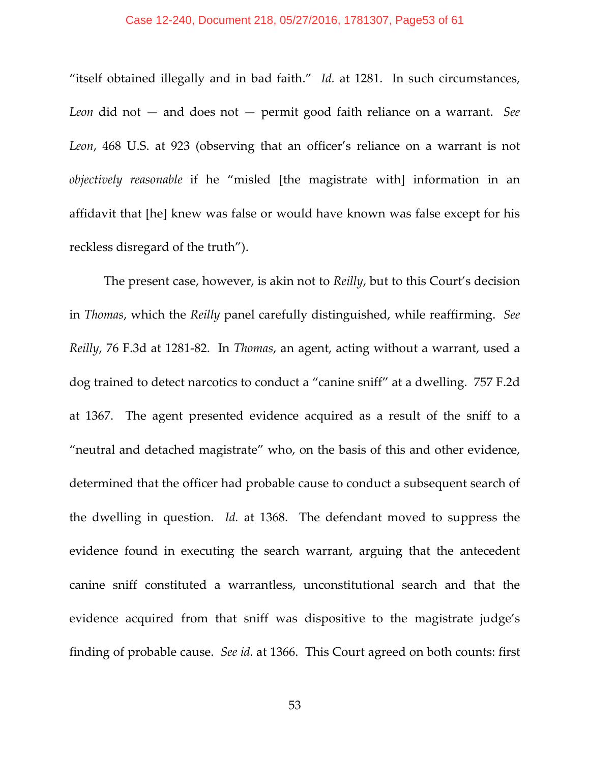#### Case 12-240, Document 218, 05/27/2016, 1781307, Page53 of 61

"itself obtained illegally and in bad faith." *Id.* at 1281. In such circumstances, *Leon* did not — and does not — permit good faith reliance on a warrant. *See Leon*, 468 U.S. at 923 (observing that an officer's reliance on a warrant is not *objectively reasonable* if he "misled [the magistrate with] information in an affidavit that [he] knew was false or would have known was false except for his reckless disregard of the truth").

The present case, however, is akin not to *Reilly*, but to this Court's decision in *Thomas*, which the *Reilly* panel carefully distinguished, while reaffirming. *See Reilly*, 76 F.3d at 1281-82. In *Thomas*, an agent, acting without a warrant, used a dog trained to detect narcotics to conduct a "canine sniff" at a dwelling. 757 F.2d at 1367. The agent presented evidence acquired as a result of the sniff to a "neutral and detached magistrate" who, on the basis of this and other evidence, determined that the officer had probable cause to conduct a subsequent search of the dwelling in question. *Id.* at 1368. The defendant moved to suppress the evidence found in executing the search warrant, arguing that the antecedent canine sniff constituted a warrantless, unconstitutional search and that the evidence acquired from that sniff was dispositive to the magistrate judge's finding of probable cause. *See id.* at 1366. This Court agreed on both counts: first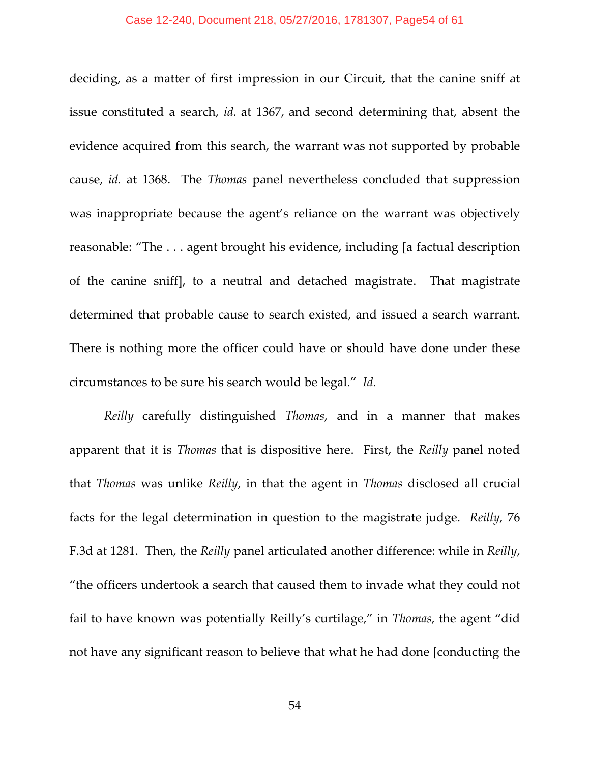#### Case 12-240, Document 218, 05/27/2016, 1781307, Page54 of 61

deciding, as a matter of first impression in our Circuit, that the canine sniff at issue constituted a search, *id.* at 1367, and second determining that, absent the evidence acquired from this search, the warrant was not supported by probable cause, *id.* at 1368. The *Thomas* panel nevertheless concluded that suppression was inappropriate because the agent's reliance on the warrant was objectively reasonable: "The . . . agent brought his evidence, including [a factual description of the canine sniff], to a neutral and detached magistrate. That magistrate determined that probable cause to search existed, and issued a search warrant. There is nothing more the officer could have or should have done under these circumstances to be sure his search would be legal." *Id.*

*Reilly* carefully distinguished *Thomas*, and in a manner that makes apparent that it is *Thomas* that is dispositive here. First, the *Reilly* panel noted that *Thomas* was unlike *Reilly*, in that the agent in *Thomas* disclosed all crucial facts for the legal determination in question to the magistrate judge. *Reilly*, 76 F.3d at 1281. Then, the *Reilly* panel articulated another difference: while in *Reilly*, "the officers undertook a search that caused them to invade what they could not fail to have known was potentially Reilly's curtilage," in *Thomas*, the agent "did not have any significant reason to believe that what he had done [conducting the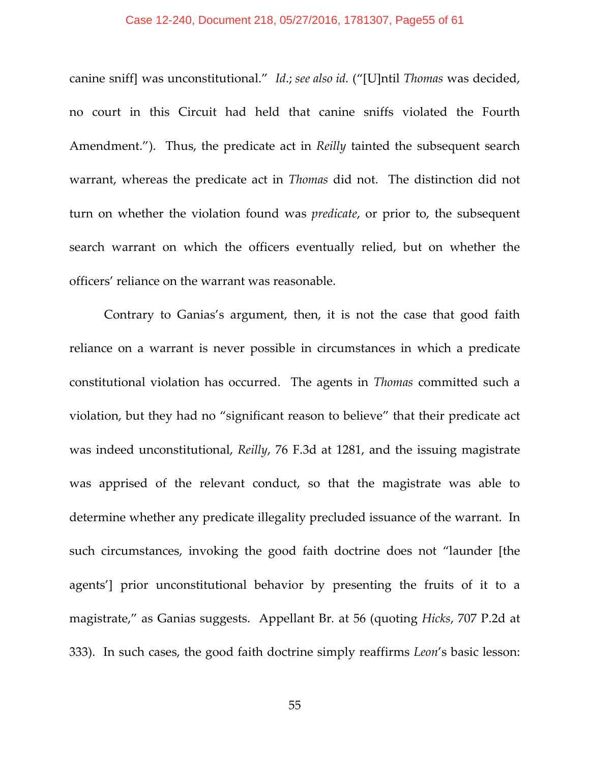#### Case 12-240, Document 218, 05/27/2016, 1781307, Page55 of 61

canine sniff] was unconstitutional." *Id*.; *see also id.* ("[U]ntil *Thomas* was decided, no court in this Circuit had held that canine sniffs violated the Fourth Amendment."). Thus, the predicate act in *Reilly* tainted the subsequent search warrant, whereas the predicate act in *Thomas* did not. The distinction did not turn on whether the violation found was *predicate*, or prior to, the subsequent search warrant on which the officers eventually relied, but on whether the officers' reliance on the warrant was reasonable.

Contrary to Ganias's argument, then, it is not the case that good faith reliance on a warrant is never possible in circumstances in which a predicate constitutional violation has occurred. The agents in *Thomas* committed such a violation, but they had no "significant reason to believe" that their predicate act was indeed unconstitutional, *Reilly*, 76 F.3d at 1281, and the issuing magistrate was apprised of the relevant conduct, so that the magistrate was able to determine whether any predicate illegality precluded issuance of the warrant. In such circumstances, invoking the good faith doctrine does not "launder [the agents'] prior unconstitutional behavior by presenting the fruits of it to a magistrate," as Ganias suggests. Appellant Br*.* at 56 (quoting *Hicks*, 707 P.2d at 333). In such cases, the good faith doctrine simply reaffirms *Leon*'s basic lesson: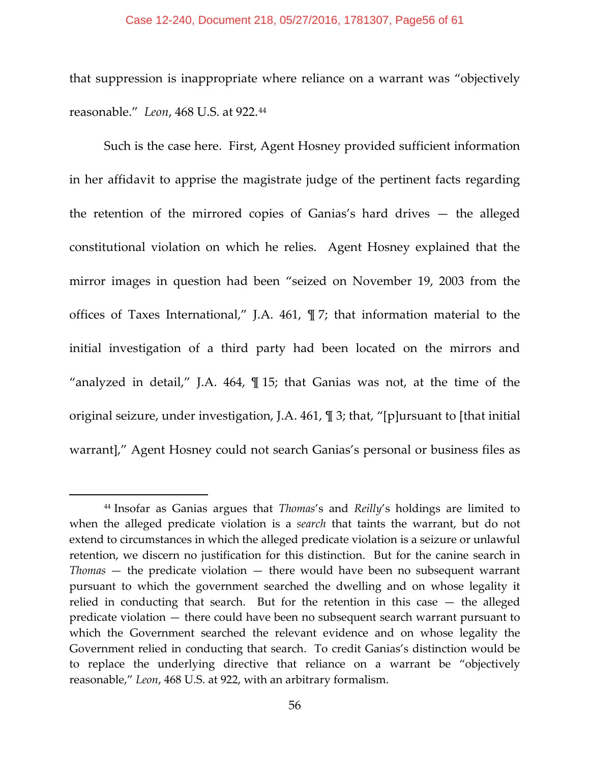#### Case 12-240, Document 218, 05/27/2016, 1781307, Page56 of 61

that suppression is inappropriate where reliance on a warrant was "objectively reasonable." *Leon*, 468 U.S. at 922.[44](#page-55-0)

Such is the case here. First, Agent Hosney provided sufficient information in her affidavit to apprise the magistrate judge of the pertinent facts regarding the retention of the mirrored copies of Ganias's hard drives — the alleged constitutional violation on which he relies. Agent Hosney explained that the mirror images in question had been "seized on November 19, 2003 from the offices of Taxes International," J.A. 461, ¶ 7; that information material to the initial investigation of a third party had been located on the mirrors and "analyzed in detail," J.A. 464, ¶ 15; that Ganias was not, at the time of the original seizure, under investigation, J.A. 461, ¶ 3; that, "[p]ursuant to [that initial warrant]," Agent Hosney could not search Ganias's personal or business files as

<span id="page-55-0"></span><sup>44</sup> Insofar as Ganias argues that *Thomas*'s and *Reilly*'s holdings are limited to when the alleged predicate violation is a *search* that taints the warrant, but do not extend to circumstances in which the alleged predicate violation is a seizure or unlawful retention, we discern no justification for this distinction. But for the canine search in *Thomas* — the predicate violation — there would have been no subsequent warrant pursuant to which the government searched the dwelling and on whose legality it relied in conducting that search. But for the retention in this case — the alleged predicate violation — there could have been no subsequent search warrant pursuant to which the Government searched the relevant evidence and on whose legality the Government relied in conducting that search. To credit Ganias's distinction would be to replace the underlying directive that reliance on a warrant be "objectively reasonable," *Leon*, 468 U.S. at 922, with an arbitrary formalism.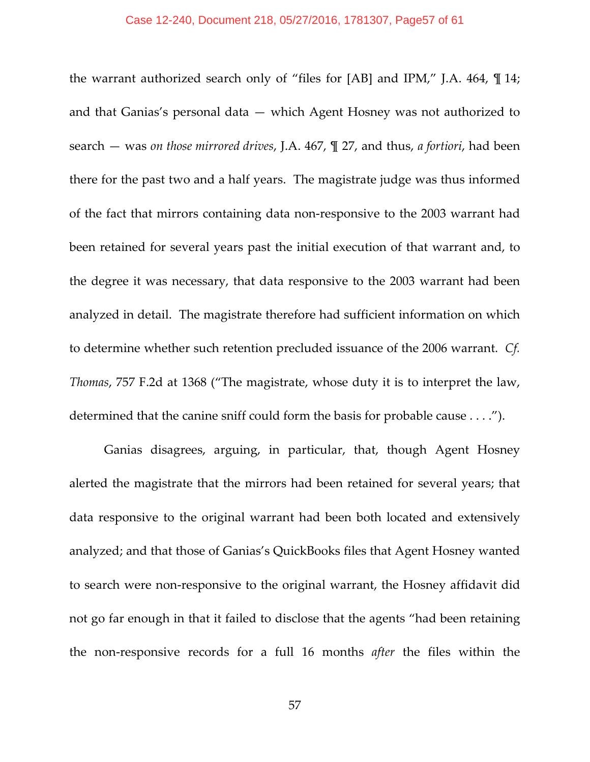the warrant authorized search only of "files for [AB] and IPM," J.A. 464, ¶ 14; and that Ganias's personal data — which Agent Hosney was not authorized to search — was *on those mirrored drives*, J.A. 467, ¶ 27, and thus, *a fortiori*, had been there for the past two and a half years. The magistrate judge was thus informed of the fact that mirrors containing data non-responsive to the 2003 warrant had been retained for several years past the initial execution of that warrant and, to the degree it was necessary, that data responsive to the 2003 warrant had been analyzed in detail. The magistrate therefore had sufficient information on which to determine whether such retention precluded issuance of the 2006 warrant. *Cf. Thomas*, 757 F.2d at 1368 ("The magistrate, whose duty it is to interpret the law, determined that the canine sniff could form the basis for probable cause . . . .").

Ganias disagrees, arguing, in particular, that, though Agent Hosney alerted the magistrate that the mirrors had been retained for several years; that data responsive to the original warrant had been both located and extensively analyzed; and that those of Ganias's QuickBooks files that Agent Hosney wanted to search were non-responsive to the original warrant, the Hosney affidavit did not go far enough in that it failed to disclose that the agents "had been retaining the non-responsive records for a full 16 months *after* the files within the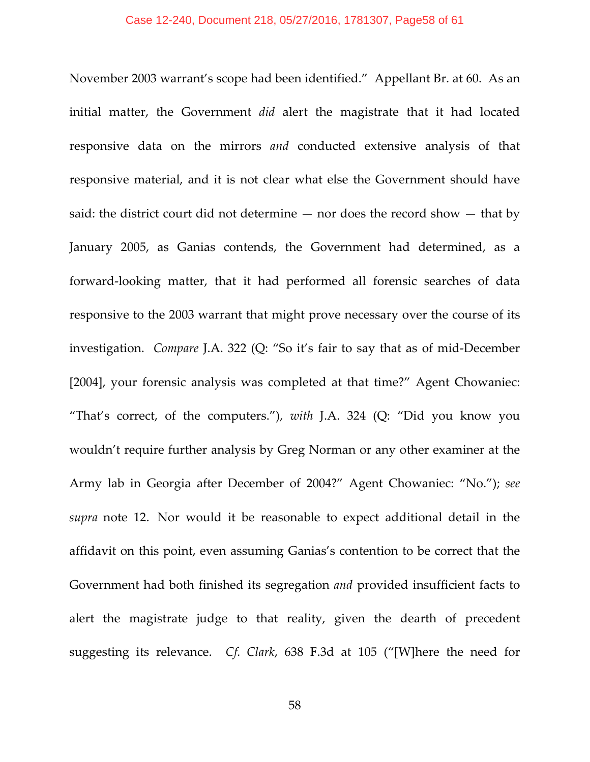November 2003 warrant's scope had been identified." Appellant Br. at 60. As an initial matter, the Government *did* alert the magistrate that it had located responsive data on the mirrors *and* conducted extensive analysis of that responsive material, and it is not clear what else the Government should have said: the district court did not determine — nor does the record show — that by January 2005, as Ganias contends, the Government had determined, as a forward-looking matter, that it had performed all forensic searches of data responsive to the 2003 warrant that might prove necessary over the course of its investigation. *Compare* J.A. 322 (Q: "So it's fair to say that as of mid-December [2004], your forensic analysis was completed at that time?" Agent Chowaniec: "That's correct, of the computers."), *with* J.A. 324 (Q: "Did you know you wouldn't require further analysis by Greg Norman or any other examiner at the Army lab in Georgia after December of 2004?" Agent Chowaniec: "No."); *see supra* note 12. Nor would it be reasonable to expect additional detail in the affidavit on this point, even assuming Ganias's contention to be correct that the Government had both finished its segregation *and* provided insufficient facts to alert the magistrate judge to that reality, given the dearth of precedent suggesting its relevance. *Cf. Clark*, 638 F.3d at 105 ("[W]here the need for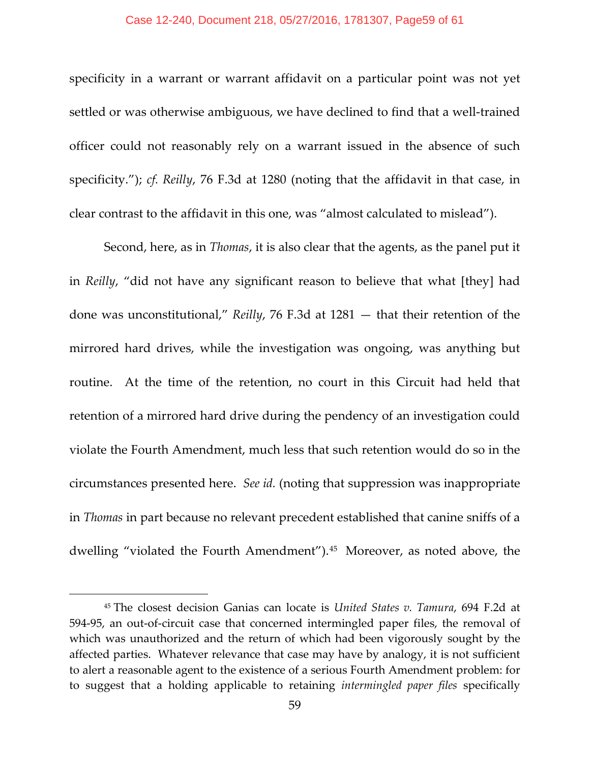#### Case 12-240, Document 218, 05/27/2016, 1781307, Page59 of 61

specificity in a warrant or warrant affidavit on a particular point was not yet settled or was otherwise ambiguous, we have declined to find that a well-trained officer could not reasonably rely on a warrant issued in the absence of such specificity."); *cf. Reilly*, 76 F.3d at 1280 (noting that the affidavit in that case, in clear contrast to the affidavit in this one, was "almost calculated to mislead").

Second, here, as in *Thomas*, it is also clear that the agents, as the panel put it in *Reilly*, "did not have any significant reason to believe that what [they] had done was unconstitutional," *Reilly*, 76 F.3d at 1281 — that their retention of the mirrored hard drives, while the investigation was ongoing, was anything but routine. At the time of the retention, no court in this Circuit had held that retention of a mirrored hard drive during the pendency of an investigation could violate the Fourth Amendment, much less that such retention would do so in the circumstances presented here. *See id.* (noting that suppression was inappropriate in *Thomas* in part because no relevant precedent established that canine sniffs of a dwelling "violated the Fourth Amendment").[45](#page-58-0) Moreover, as noted above, the

<span id="page-58-0"></span><sup>45</sup> The closest decision Ganias can locate is *United States v. Tamura*, 694 F.2d at 594-95, an out-of-circuit case that concerned intermingled paper files, the removal of which was unauthorized and the return of which had been vigorously sought by the affected parties. Whatever relevance that case may have by analogy, it is not sufficient to alert a reasonable agent to the existence of a serious Fourth Amendment problem: for to suggest that a holding applicable to retaining *intermingled paper files* specifically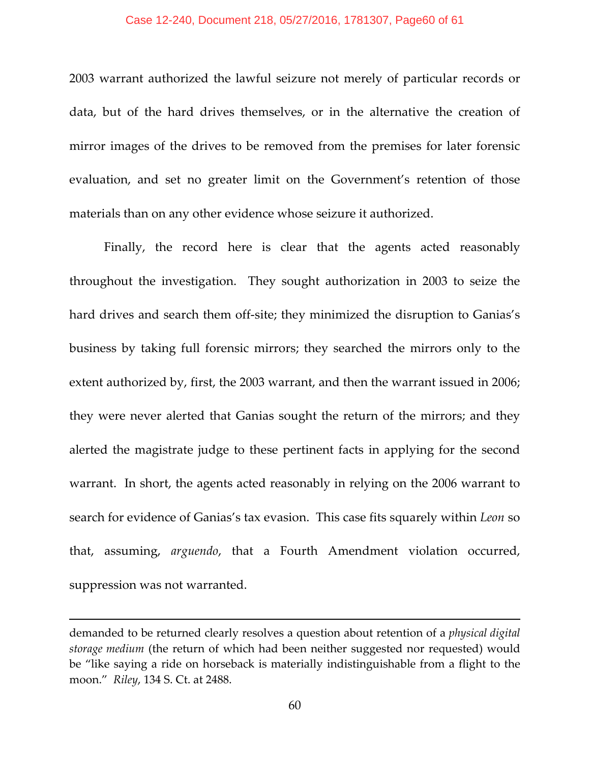#### Case 12-240, Document 218, 05/27/2016, 1781307, Page60 of 61

2003 warrant authorized the lawful seizure not merely of particular records or data, but of the hard drives themselves, or in the alternative the creation of mirror images of the drives to be removed from the premises for later forensic evaluation, and set no greater limit on the Government's retention of those materials than on any other evidence whose seizure it authorized.

Finally, the record here is clear that the agents acted reasonably throughout the investigation. They sought authorization in 2003 to seize the hard drives and search them off-site; they minimized the disruption to Ganias's business by taking full forensic mirrors; they searched the mirrors only to the extent authorized by, first, the 2003 warrant, and then the warrant issued in 2006; they were never alerted that Ganias sought the return of the mirrors; and they alerted the magistrate judge to these pertinent facts in applying for the second warrant. In short, the agents acted reasonably in relying on the 2006 warrant to search for evidence of Ganias's tax evasion. This case fits squarely within *Leon* so that, assuming, *arguendo*, that a Fourth Amendment violation occurred, suppression was not warranted.

demanded to be returned clearly resolves a question about retention of a *physical digital storage medium* (the return of which had been neither suggested nor requested) would be "like saying a ride on horseback is materially indistinguishable from a flight to the moon." *Riley*, 134 S. Ct. at 2488.